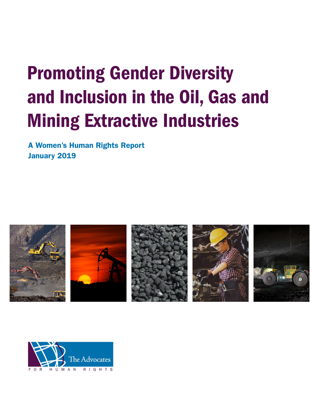# Promoting Gender Diversity and Inclusion in the Oil, Gas and Mining Extractive Industries

A Women's Human Rights Report January 2019



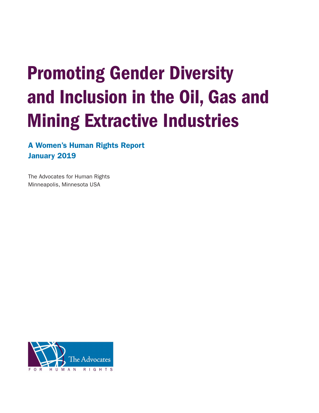# Promoting Gender Diversity and Inclusion in the Oil, Gas and Mining Extractive Industries

A Women's Human Rights Report January 2019

The Advocates for Human Rights Minneapolis, Minnesota USA

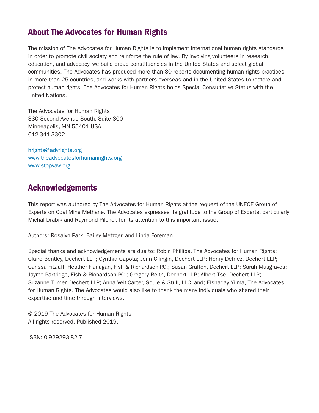# About The Advocates for Human Rights

The mission of The Advocates for Human Rights is to implement international human rights standards in order to promote civil society and reinforce the rule of law. By involving volunteers in research, education, and advocacy, we build broad constituencies in the United States and select global communities. The Advocates has produced more than 80 reports documenting human rights practices in more than 25 countries, and works with partners overseas and in the United States to restore and protect human rights. The Advocates for Human Rights holds Special Consultative Status with the United Nations.

The Advocates for Human Rights 330 Second Avenue South, Suite 800 Minneapolis, MN 55401 USA 612-341-3302

[hrights@advrights.org](http://hrights@advrights.org) [www.theadvocatesforhumanrights.org](http://www.theadvocatesforhumanrights.org) [www.stopvaw.org](http://www.stopvaw.org  ) 

# Acknowledgements

This report was authored by The Advocates for Human Rights at the request of the UNECE Group of Experts on Coal Mine Methane. The Advocates expresses its gratitude to the Group of Experts, particularly Michal Drabik and Raymond Pilcher, for its attention to this important issue.

Authors: Rosalyn Park, Bailey Metzger, and Linda Foreman

Special thanks and acknowledgements are due to: Robin Phillips, The Advocates for Human Rights; Claire Bentley, Dechert LLP; Cynthia Capota; Jenn Cilingin, Dechert LLP; Henry Defriez, Dechert LLP; Carissa Fitzlaff; Heather Flanagan, Fish & Richardson P.C.; Susan Grafton, Dechert LLP; Sarah Musgraves; Jayme Partridge, Fish & Richardson P.C.; Gregory Reith, Dechert LLP; Albert Tse, Dechert LLP; Suzanne Turner, Dechert LLP; Anna Veit-Carter, Soule & Stull, LLC, and; Elshaday Yilma, The Advocates for Human Rights. The Advocates would also like to thank the many individuals who shared their expertise and time through interviews.

© 2019 The Advocates for Human Rights All rights reserved. Published 2019.

ISBN: 0-929293-82-7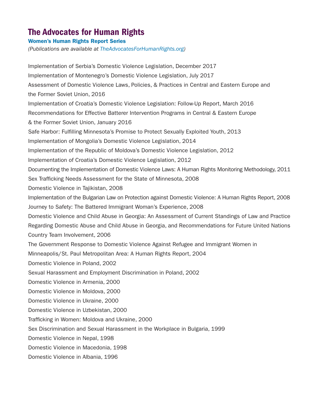# The Advocates for Human Rights

## Women's Human Rights Report Series

*(Publications are available at [TheAdvocatesForHumanRights.org\)](http://TheAdvocatesForHumanRights.org)*

Implementation of Serbia's Domestic Violence Legislation, December 2017 Implementation of Montenegro's Domestic Violence Legislation, July 2017 Assessment of Domestic Violence Laws, Policies, & Practices in Central and Eastern Europe and the Former Soviet Union, 2016 Implementation of Croatia's Domestic Violence Legislation: Follow-Up Report, March 2016 Recommendations for Effective Batterer Intervention Programs in Central & Eastern Europe & the Former Soviet Union, January 2016 Safe Harbor: Fulfilling Minnesota's Promise to Protect Sexually Exploited Youth, 2013 Implementation of Mongolia's Domestic Violence Legislation, 2014 Implementation of the Republic of Moldova's Domestic Violence Legislation, 2012 Implementation of Croatia's Domestic Violence Legislation, 2012 Documenting the Implementation of Domestic Violence Laws: A Human Rights Monitoring Methodology, 2011 Sex Trafficking Needs Assessment for the State of Minnesota, 2008 Domestic Violence in Tajikistan, 2008 Implementation of the Bulgarian Law on Protection against Domestic Violence: A Human Rights Report, 2008 Journey to Safety: The Battered Immigrant Woman's Experience, 2008 Domestic Violence and Child Abuse in Georgia: An Assessment of Current Standings of Law and Practice Regarding Domestic Abuse and Child Abuse in Georgia, and Recommendations for Future United Nations Country Team Involvement, 2006 The Government Response to Domestic Violence Against Refugee and Immigrant Women in Minneapolis/St. Paul Metropolitan Area: A Human Rights Report, 2004 Domestic Violence in Poland, 2002 Sexual Harassment and Employment Discrimination in Poland, 2002 Domestic Violence in Armenia, 2000 Domestic Violence in Moldova, 2000 Domestic Violence in Ukraine, 2000 Domestic Violence in Uzbekistan, 2000 Trafficking in Women: Moldova and Ukraine, 2000 Sex Discrimination and Sexual Harassment in the Workplace in Bulgaria, 1999 Domestic Violence in Nepal, 1998 Domestic Violence in Macedonia, 1998 Domestic Violence in Albania, 1996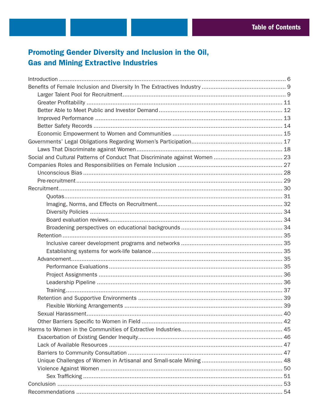# Promoting Gender Diversity and Inclusion in the Oil, **Gas and Mining Extractive Industries**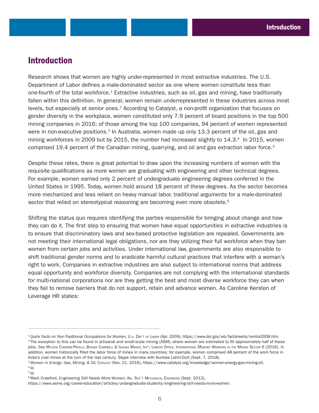# Introduction

Research shows that women are highly under-represented in most extractive industries. The U.S. Department of Labor defines a male-dominated sector as one where women constitute less than one-fourth of the total workforce.<sup>1</sup> Extractive industries, such as oil, gas and mining, have traditionally fallen within this definition. In general, women remain underrepresented in these industries across most levels, but especially at senior ones.<sup>2</sup> According to Catalyst, a non-profit organization that focuses on gender diversity in the workplace, women constituted only 7.9 percent of board positions in the top 500 mining companies in 2016; of those among the top 100 companies, 94 percent of women represented were in non-executive positions.<sup>3</sup> In Australia, women made up only 13.3 percent of the oil, gas and mining workforces in 2009 but by 2015, the number had increased slightly to 14.3.<sup>4</sup> In 2015, women comprised 19.4 percent of the Canadian mining, quarrying, and oil and gas extraction labor force.<sup>5</sup>

Despite these rates, there is great potential to draw upon the increasing numbers of women with the requisite qualifications as more women are graduating with engineering and other technical degrees. For example, women earned only 2 percent of undergraduate engineering degrees conferred in the United States in 1995. Today, women hold around 18 percent of these degrees. As the sector becomes more mechanized and less reliant on heavy manual labor, traditional arguments for a male-dominated sector that relied on stereotypical reasoning are becoming even more obsolete.<sup>6</sup>

Shifting the status quo requires identifying the parties responsible for bringing about change and how they can do it. The first step to ensuring that women have equal opportunities in extractive industries is to ensure that discriminatory laws and sex-based protective legislation are repealed. Governments are not meeting their international legal obligations, nor are they utilizing their full workforce when they ban women from certain jobs and activities. Under international law, governments are also responsible to shift traditional gender norms and to eradicate harmful cultural practices that interfere with a woman's right to work. Companies in extractive industries are also subject to international norms that address equal opportunity and workforce diversity. Companies are not complying with the international standards for multi-national corporations nor are they getting the best and most diverse workforce they can when they fail to remove barriers that do not support, retain and advance women. As Caroline Kersten of Leverage HR states:

<sup>&</sup>lt;sup>1</sup>Quick Facts on Non-Traditional Occupations for Women, U.s. DEP'T of LABOR (Apr. 2009), <https://www.dol.gov/wb/factsheets/nontra2008.htm>.<br><sup>2</sup>The exception to this can be found in artisanal and small-scale mining (ASM), w jobs. *See* Mylène Coderre-Proulx, Bonnie Campbell & Issiaka Mandé, Int'l Labour Office, International Migrant Workers in the Mining Sector 6 (2016). In addition, women historically filled the labor force of mines in many countries; for example, women comprised 48 percent of the work force in India's coal mines at the turn of the last century. Skype interview with Kuntala Lahiri-Dutt (Sept. 7, 2018).

<sup>3</sup>*Women in Energy: Gas, Mining, & Oil,* Catalyst (Nov. 21, 2016), [https://www.catalyst.org/knowledge/women-energy-gas-mining-oil.](https://www.catalyst.org/knowledge/women-energy-gas-mining-oil) <sup>4</sup>*Id.*

<sup>5</sup>*Id.*

<sup>6</sup> Mark Crawford, *Engineering Still Needs More Women,* Am. Soc'y Mechanical Engineers (Sept. 2012),

<https://www.asme.org/career-education/articles/undergraduate-students/engineering-still-needs-more-women>.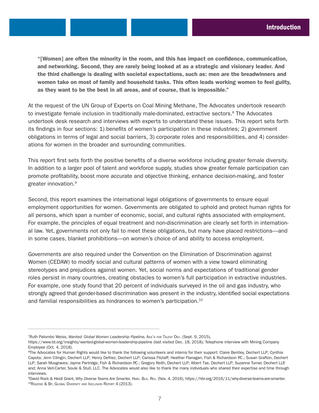"[Women] are often the minority in the room, and this has impact on confidence, communication, and networking. Second, they are rarely being looked at as a strategic and visionary leader. And the third challenge is dealing with societal expectations, such as: men are the breadwinners and women take on most of family and household tasks. This often leads working women to feel guilty, as they want to be the best in all areas, and of course, that is impossible."

At the request of the UN Group of Experts on Coal Mining Methane, The Advocates undertook research to investigate female inclusion in traditionally male-dominated, extractive sectors.<sup>8</sup> The Advocates undertook desk research and interviews with experts to understand these issues. This report sets forth its findings in four sections: 1) benefits of women's participation in these industries; 2) government obligations in terms of legal and social barriers, 3) corporate roles and responsibilities, and 4) considerations for women in the broader and surrounding communities.

This report first sets forth the positive benefits of a diverse workforce including greater female diversity. In addition to a larger pool of talent and workforce supply, studies show greater female participation can promote profitability, boost more accurate and objective thinking, enhance decision-making, and foster greater innovation.9

Second, this report examines the international legal obligations of governments to ensure equal employment opportunities for women. Governments are obligated to uphold and protect human rights for all persons, which span a number of economic, social, and cultural rights associated with employment. For example, the principles of equal treatment and non-discrimination are clearly set forth in international law. Yet, governments not only fail to meet these obligations, but many have placed restrictions—and in some cases, blanket prohibitions—on women's choice of and ability to access employment.

Governments are also required under the Convention on the Elimination of Discrimination against Women (CEDAW) to modify social and cultural patterns of women with a view toward eliminating stereotypes and prejudices against women. Yet, social norms and expectations of traditional gender roles persist in many countries, creating obstacles to women's full participation in extractive industries. For example, one study found that 20 percent of individuals surveyed in the oil and gas industry, who strongly agreed that gender-based discrimination was present in the industry, identified social expectations and familial responsibilities as hindrances to women's participation.<sup>10</sup>

<sup>7</sup>Ruth Palombo Weiss, *Wanted: Global Women Leadership Pipeline,* Ass'n for Talent Dev. (Sept. 9, 2015),

<https://www.td.org/insights/wanted-global-women-leadership-pipeline> (last visited Dec. 18, 2018); Telephone interview with Mining Company Employee (Oct. 4, 2018).

<sup>&</sup>lt;sup>8</sup>The Advocates for Human Rights would like to thank the following volunteers and interns for their support: Claire Bentley, Dechert LLP; Cynthia Capota; Jenn Cilingin, Dechert LLP; Henry Defriez, Dechert LLP; Carissa Fitzlaff; Heather Flanagan, Fish & Richardson P.C.; Susan Grafton, Dechert LLP; Sarah Musgraves; Jayme Partridge, Fish & Richardson P.C.; Gregory Reith, Dechert LLP; Albert Tse, Dechert LLP; Suzanne Turner, Dechert LLP, and; Anna Veit-Carter, Soule & Stull, LLC. The Advocates would also like to thank the many individuals who shared their expertise and time through interviews.

<sup>9</sup>David Rock & Heidi Grant, *Why Diverse Teams Are Smarter,* Harv. Bus. Rev. (Nov. 4, 2016), [https://hbr.org/2016/11/why-diverse-teams-are-smarter.](https://hbr.org/2016/11/why-diverse-teams-are-smarter) <sup>10</sup>Rigzone & Bp, Global Diversity and Inclusion Report 4 (2013).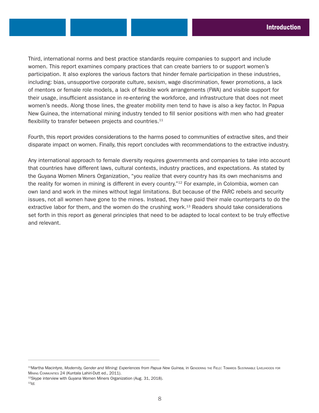Third, international norms and best practice standards require companies to support and include women. This report examines company practices that can create barriers to or support women's participation. It also explores the various factors that hinder female participation in these industries, including: bias, unsupportive corporate culture, sexism, wage discrimination, fewer promotions, a lack of mentors or female role models, a lack of flexible work arrangements (FWA) and visible support for their usage, insufficient assistance in re-entering the workforce, and infrastructure that does not meet women's needs. Along those lines, the greater mobility men tend to have is also a key factor. In Papua New Guinea, the international mining industry tended to fill senior positions with men who had greater flexibility to transfer between projects and countries. $11$ 

Fourth, this report provides considerations to the harms posed to communities of extractive sites, and their disparate impact on women. Finally, this report concludes with recommendations to the extractive industry.

Any international approach to female diversity requires governments and companies to take into account that countries have different laws, cultural contexts, industry practices, and expectations. As stated by the Guyana Women Miners Organization, "you realize that every country has its own mechanisms and the reality for women in mining is different in every country.<sup>"12</sup> For example, in Colombia, women can own land and work in the mines without legal limitations. But because of the FARC rebels and security issues, not all women have gone to the mines. Instead, they have paid their male counterparts to do the extractive labor for them, and the women do the crushing work.<sup>13</sup> Readers should take considerations set forth in this report as general principles that need to be adapted to local context to be truly effective and relevant.

<sup>11</sup>Martha Macintyre, Modernity, Gender and Mining: Experiences from Papua New Guinea, in GENDERING THE FIELD: TOWARDS SUSTAINABLE LIVELIHOODS FOR MINING COMMUNITIES 24 (Kuntala Lahiri-Dutt ed., 2011).<br><sup>12</sup>Skype interview with Guyana Women Miners Organization (Aug. 31, 2018).

<sup>13</sup>*Id.*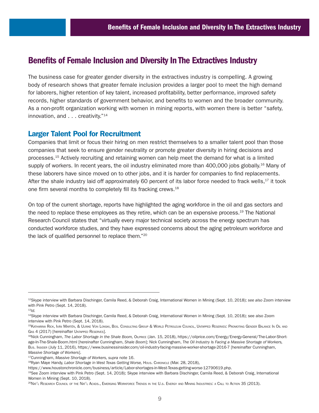# Benefits of Female Inclusion and Diversity In The Extractives Industry

The business case for greater gender diversity in the extractives industry is compelling. A growing body of research shows that greater female inclusion provides a larger pool to meet the high demand for laborers, higher retention of key talent, increased profitability, better performance, improved safety records, higher standards of government behavior, and benefits to women and the broader community. As a non-profit organization working with women in mining reports, with women there is better "safety, innovation, and . . . creativity."<sup>14</sup>

## Larger Talent Pool for Recruitment

Companies that limit or focus their hiring on men restrict themselves to a smaller talent pool than those companies that seek to ensure gender neutrality or promote greater diversity in hiring decisions and processes.15 Actively recruiting and retaining women can help meet the demand for what is a limited supply of workers. In recent years, the oil industry eliminated more than 400,000 jobs globally.<sup>16</sup> Many of these laborers have since moved on to other jobs, and it is harder for companies to find replacements. After the shale industry laid off approximately 60 percent of its labor force needed to frack wells,<sup>17</sup> it took one firm several months to completely fill its fracking crews.18

On top of the current shortage, reports have highlighted the aging workforce in the oil and gas sectors and the need to replace these employees as they retire, which can be an expensive process.<sup>19</sup> The National Research Council states that "virtually every major technical society across the energy spectrum has conducted workforce studies, and they have expressed concerns about the aging petroleum workforce and the lack of qualified personnel to replace them."20

<sup>12</sup>Skype interview with Barbara Dischinger, Camila Reed, & Deborah Craig, International Women in Mining (Sept. 10, 2018); *see also* Zoom interview with Pink Petro (Sept. 14, 2018).

<sup>13</sup>*Id.*

<sup>&</sup>lt;sup>14</sup>Skype interview with Barbara Dischinger, Camila Reed, & Deborah Craig, International Women in Mining (Sept. 10, 2018); see also Zoom interview with Pink Petro (Sept. 14, 2018).

<sup>15</sup>Katharina Rick, Iván Martén, & Ulrike Von Lonski, Bos. Consulting Group & World Petroleum Council, Untapped Reserves: Promoting Gender Balance In Oil and GAS 4 (2017) [hereinafter UNTAPPED RESERVES].

<sup>16</sup>Nick Cunningham, The Labor Shortage in the Shale Boom, OLPRICE (Jan. 15, 2018), [https://oilprice.com/Energy/Energy-General/The-Labor-Short](https://oilprice.com/Energy/Energy-General/The-Labor-Shortage-In-The-Shale-Boom.html)[age-In-The-Shale-Boom.html](https://oilprice.com/Energy/Energy-General/The-Labor-Shortage-In-The-Shale-Boom.html) [hereinafter Cunningham, *Shale Boom*]; Nick Cunningham, *The Oil Industry Is Facing a Massive Shortage of Workers,* Bus. Insider (July 11, 2016),<https://www.businessinsider.com/oil-industry-facing-massive-worker-shortage-2016-7> [hereinafter Cunningham,

*Massive Shortage of Workers*]. 17Cunningham, *Massive Shortage of Workers, supra* note 16.

<sup>18</sup>Ryan Maye Handy, *Labor Shortage in West Texas Getting Worse,* Hous. Chronicle (Mar. 28, 2018),

[https://www.houstonchronicle.com/business/article/Labor-shortages-in-West-Texas-getting-worse-12790619.php.](https://www.houstonchronicle.com/business/article/Labor-shortages-in-West-Texas-getting-worse-12790619.php)

<sup>&</sup>lt;sup>19</sup>See Zoom interview with Pink Petro (Sept. 14, 2018); Skype interview with Barbara Dischinger, Camila Reed, & Deborah Craig, International Women in Mining (Sept. 10, 2018).

<sup>20</sup>Nat'l Research Council of the Nat'l Acads., Emerging Workforce Trends in the U.s. Energy and Mining Industries: a Call to Action 35 (2013).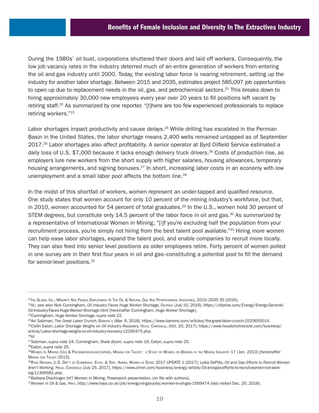During the 1980s' oil bust, corporations shuttered their doors and laid off workers. Consequently, the low job vacancy rates in the industry deterred much of an entire generation of workers from entering the oil and gas industry until 2000. Today, the existing labor force is nearing retirement, setting up the industry for another labor shortage. Between 2015 and 2035, estimates project 585,097 job opportunities to open up due to replacement needs in the oil, gas, and petrochemical sectors.<sup>21</sup> This breaks down to hiring approximately 30,000 new employees every year over 20 years to fill positions left vacant by retiring staff.22 As summarized by one reporter, "[t]here are too few experienced professionals to replace retiring workers."23

Labor shortages impact productivity and cause delays.<sup>24</sup> While drilling has escalated in the Permian Basin in the United States, the labor shortage means 2,400 wells remained untapped as of September 2017.<sup>25</sup> Labor shortages also affect profitability. A senior operator at Byrd Oilfield Service estimated a daily loss of U.S. \$7,000 because it lacks enough delivery truck drivers.<sup>26</sup> Costs of production rise, as employers lure new workers from the short supply with higher salaries, housing allowances, temporary housing arrangements, and signing bonuses.<sup>27</sup> In short, increasing labor costs in an economy with low unemployment and a small labor pool affects the bottom line.<sup>28</sup>

In the midst of this shortfall of workers, women represent an under-tapped and qualified resource. One study states that women account for only 10 percent of the mining industry's workforce, but that, in 2010, women accounted for 54 percent of total graduates.<sup>29</sup> In the U.S., women hold 30 percent of STEM degrees, but constitute only 14.5 percent of the labor force in oil and gas.<sup>30</sup> As summarized by a representative of International Women in Mining, "[i]f you're excluding half the population from your recruitment process, you're simply not hiring from the best talent pool available."<sup>31</sup> Hiring more women can help ease labor shortages, expand the talent pool, and enable companies to recruit more locally. They can also feed into senior level positions as older employees retire. Forty percent of women polled in one survey are in their first four years in oil and gas–constituting a potential pool to fill the demand for senior-level positions.<sup>32</sup>

<sup>&</sup>lt;sup>21</sup>IHS GLOBAL INC., МІNORITY AND FEMALE EMPLOYMENT IN THE OIL & NATURAL GAS AND PETROCHEMICAL INDUSTRIES, 2015–2035 35 (2016).<br><sup>22</sup>Id.; see also Nick Cunningham, Oil Industry Faces Huge Worker Shortage, OILPRICE (July 10 [Oil-Industry-Faces-Huge-Worker-Shortage.html](https://oilprice.com/Energy/Energy-General/Oil-Industry-Faces-Huge-Worker-Shortage.html) [hereinafter Cunningham, *Huge Worker Shortage*].

<sup>&</sup>lt;sup>23</sup>Cunningham, *Huge Worker Shortage, supra n*ote 22.<br><sup>24</sup>Avi Salzman, *The Great Labor Crunch,* Barrow's (Mar. 9, 2018), [https://www.barrons.com/articles/the-great-labor-crunch-1520655014.](https://www.barrons.com/articles/the-great-labor-crunch-1520655014)<br><sup>25</sup>Collin Eaton, *Labor Shorta* 

[article/Labor-shortage-weighs-on-oil-industry-recovery-12295475.php.](https://www.houstonchronicle.com/business/article/Labor-shortage-weighs-on-oil-industry-recovery-12295475.php)

<sup>26</sup>*Id.*

<sup>27</sup>Salzman, *supra* note 24; Cunningham, *Shale Boom, supra* note 16; Eaton, *supra* note 25. 28Eaton, *supra* note 25.

<sup>29</sup>Women In Mining (Uk) & Pricewaterhousecoopers, Mining for Talent: a Study of Women on Boards in the Mining Industry 17 (Jan. 2013) [hereinafter Mining for Talent 2013].

<sup>30</sup>Ryan Noonan, U.S. Dep't of Commerce, Econ. & Stat. Admin, Women in Stem: 2017 UPDATE 1 (2017); Lydia DePilis, *Oil and Gas Efforts to Recruit Women Aren't Working,* Hous. Chronicle (July 25, 2017), [https://www.chron.com/business/energy/article/Oil-and-gas-efforts-to-recruit-women-not-work](https://www.chron.com/business/energy/article/Oil-and-gas-efforts-to-recruit-women-not-working-11306581.php)[ing-11306581.php](https://www.chron.com/business/energy/article/Oil-and-gas-efforts-to-recruit-women-not-working-11306581.php).

<sup>31</sup>Barbara Dischinger, Int'l Women in Mining, Powerpoint presentation, (on file with authors).

<sup>32</sup>*Women in Oil & Gas,* Hays,<http://www.hays.co.uk/job/energy-oil-gas-jobs/women-in-oil-gas-1569474>(last visited Dec. 20, 2018).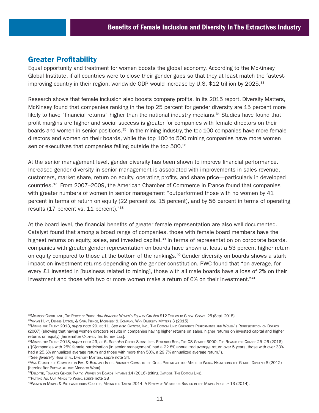# Greater Profitability

Equal opportunity and treatment for women boosts the global economy. According to the McKinsey Global Institute, if all countries were to close their gender gaps so that they at least match the fastestimproving country in their region, worldwide GDP would increase by U.S. \$12 trillion by 2025.<sup>33</sup>

Research shows that female inclusion also boosts company profits. In its 2015 report, Diversity Matters, McKinsey found that companies ranking in the top 25 percent for gender diversity are 15 percent more likely to have "financial returns" higher than the national industry medians. $34$  Studies have found that profit margins are higher and social success is greater for companies with female directors on their boards and women in senior positions.<sup>35</sup> In the mining industry, the top 100 companies have more female directors and women on their boards, while the top 100 to 500 mining companies have more women senior executives that companies falling outside the top 500.<sup>36</sup>

At the senior management level, gender diversity has been shown to improve financial performance. Increased gender diversity in senior management is associated with improvements in sales revenue, customers, market share, return on equity, operating profits, and share price—particularly in developed countries.37 From 2007–2009, the American Chamber of Commerce in France found that companies with greater numbers of women in senior management "outperformed those with no women by 41 percent in terms of return on equity (22 percent vs. 15 percent), and by 56 percent in terms of operating results (17 percent vs. 11 percent)."38

At the board level, the financial benefits of greater female representation are also well-documented. Catalyst found that among a broad range of companies, those with female board members have the highest returns on equity, sales, and invested capital.<sup>39</sup> In terms of representation on corporate boards, companies with greater gender representation on boards have shown at least a 53 percent higher return on equity compared to those at the bottom of the rankings.<sup>40</sup> Gender diversity on boards shows a stark impact on investment returns depending on the gender constitution. PWC found that "on average, for every £1 invested in [business related to mining], those with all male boards have a loss of 2% on their investment and those with two or more women make a return of 6% on their investment."41

<sup>33</sup>MCKINSEY GLOBAL INST., THE POWER OF PARITY: HOW ADVANCING WOMEN'S EQUALITY CAN ADD \$12 TRILLION TO GLOBAL GROWTH 25 (Sept. 2015).

<sup>34</sup>Vivian Hunt, Dennis Layton, & Sara Prince, Mckinsey & Company, Why Diversity Matters 3 (2015).

<sup>35</sup>Mining for Talent 2013, *supra* note 29, at 11. *See also* Catalyst, Inc., The Bottom Line: Corporate Performance and Women's Representation on Boards (2007) (showing that having women directors results in companies having higher returns on sales, higher returns on invested capital and higher returns on equity) [hereinafter CATALYST, THE BOTTOM LINE].

<sup>36</sup>Mining for Talent 2013, *supra* note 29, at 6. *See also* Credit Suisse Inst. Research Rep., The CS Gender 3000: The Reward for Change 25–26 (2016) ("[C]ompanies with 25% female participation [in senior management] had a 22.8% annualized average return over 5 years, those with over 33% had a 25.6% annualized average return and those with more than 50%, a 29.7% annualized average return.").

<sup>&</sup>lt;sup>37</sup>See *generally* Hunt et al., Diversity Matters, s*upra* note 34.<br><sup>38</sup>Am. Chamber of Commerce in Fra. & Bus. and Indus. Advisory Comm. to the Oecd, Putting all our Minds to Work: Harnessing the Gender Dividend 8 (2012) [hereinafter Putting all our Minds to Work].<br><sup>39</sup>Deloitte, Towards Gender Parity: Women on Boards Initiative 14 (2016) (citing Catalyst, The Bottom Line).

<sup>40</sup>Putting All Our Minds to Work, *supra* note 38

<sup>41</sup>Women in Mining & PricewaterhouseCoopers, Mining for Talent 2014: A Review of Women on Boards in the Mining Industry 13 (2014).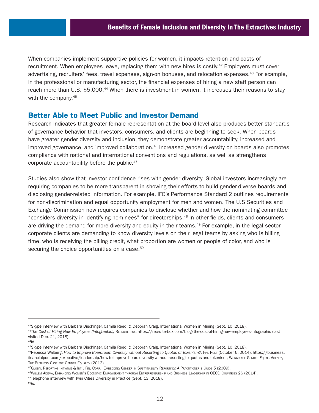When companies implement supportive policies for women, it impacts retention and costs of recruitment. When employees leave, replacing them with new hires is costly.<sup>42</sup> Employers must cover advertising, recruiters' fees, travel expenses, sign-on bonuses, and relocation expenses.43 For example, in the professional or manufacturing sector, the financial expenses of hiring a new staff person can reach more than U.S. \$5,000.<sup>44</sup> When there is investment in women, it increases their reasons to stay with the company.<sup>45</sup>

## Better Able to Meet Public and Investor Demand

Research indicates that greater female representation at the board level also produces better standards of governance behavior that investors, consumers, and clients are beginning to seek. When boards have greater gender diversity and inclusion, they demonstrate greater accountability, increased and improved governance, and improved collaboration.<sup>46</sup> Increased gender diversity on boards also promotes compliance with national and international conventions and regulations, as well as strengthens corporate accountability before the public.47

Studies also show that investor confidence rises with gender diversity. Global investors increasingly are requiring companies to be more transparent in showing their efforts to build gender-diverse boards and disclosing gender-related information. For example, IFC's Performance Standard 2 outlines requirements for non-discrimination and equal opportunity employment for men and women. The U.S Securities and Exchange Commission now requires companies to disclose whether and how the nominating committee "considers diversity in identifying nominees" for directorships.48 In other fields, clients and consumers are driving the demand for more diversity and equity in their teams.<sup>49</sup> For example, in the legal sector, corporate clients are demanding to know diversity levels on their legal teams by asking who is billing time, who is receiving the billing credit, what proportion are women or people of color, and who is securing the choice opportunities on a case.<sup>50</sup>

<sup>42</sup>Skype interview with Barbara Dischinger, Camila Reed, & Deborah Craig, International Women in Mining (Sept. 10, 2018).

<sup>&</sup>lt;sup>43</sup>The Cost of Hiring New Employees (Infographic), RECRUITERBOX,<https://recruiterbox.com/blog/the-cost-of-hiring-new-employees-infographic> (last visited Dec. 21, 2018).

 $44$ Id.

<sup>45</sup>Skype interview with Barbara Dischinger, Camila Reed, & Deborah Craig, International Women in Mining (Sept. 10, 2018).

<sup>46</sup>Rebecca Walberg, *How to Improve Boardroom Diversity without Resorting to Quotas of Tokenism?,* Fin. Post (October 6, 2014), [https://business.](https://business.financialpost.com/executive/leadership/how-to-improve-board-diversity-without-resorting-to-quotas-and-tokenism) [financialpost.com/executive/leadership/how-to-improve-board-diversity-without-resorting-to-quotas-and-tokenism](https://business.financialpost.com/executive/leadership/how-to-improve-board-diversity-without-resorting-to-quotas-and-tokenism); Workplace Gender Equal. AGENCY, THE BUSINESS CASE FOR GENDER EQUALITY (2013).

<sup>&</sup>lt;sup>47</sup>Global Reporting Initiative & Int'l Fin. Corp., Embedding Gender in Sustainability Reporting: A Practitioner's Guide 5 (2009).<br><sup>48</sup>Willem Adema, Enhancing Women's Economic Empowerment through Entrepreneurship and Busin

<sup>49</sup>Telephone interview with Twin Cities Diversity in Practice (Sept. 13, 2018).

<sup>50</sup>*Id.*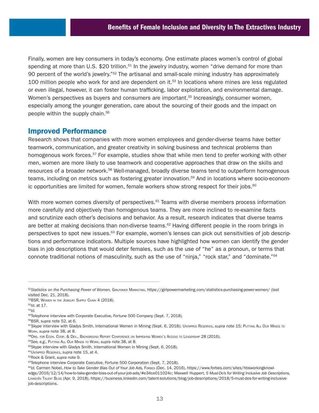Finally, women are key consumers in today's economy. One estimate places women's control of global spending at more than U.S. \$20 trillion.<sup>51</sup> In the jewelry industry, women "drive demand for more than 90 percent of the world's jewelry."<sup>52</sup> The artisanal and small-scale mining industry has approximately 100 million people who work for and are dependent on it. $53$  In locations where mines are less regulated or even illegal, however, it can foster human trafficking, labor exploitation, and environmental damage. Women's perspectives as buyers and consumers are important.<sup>55</sup> Increasingly, consumer women, especially among the younger generation, care about the sourcing of their goods and the impact on people within the supply chain.<sup>56</sup>

## Improved Performance

Research shows that companies with more women employees and gender-diverse teams have better teamwork, communication, and greater creativity in solving business and technical problems than homogenous work forces.<sup>57</sup> For example, studies show that while men tend to prefer working with other men, women are more likely to use teamwork and cooperative approaches that draw on the skills and resources of a broader network.58 Well-managed, broadly diverse teams tend to outperform homogenous teams, including on metrics such as fostering greater innovation.59 And in locations where socio-economic opportunities are limited for women, female workers show strong respect for their jobs.<sup>60</sup>

With more women comes diversity of perspectives.<sup>61</sup> Teams with diverse members process information more carefully and objectively than homogenous teams. They are more inclined to re-examine facts and scrutinize each other's decisions and behavior. As a result, research indicates that diverse teams are better at making decisions than non-diverse teams.<sup>62</sup> Having different people in the room brings in perspectives to spot new issues. $63$  For example, women's lenses can pick out sensitivities of job descriptions and performance indicators. Multiple sources have highlighted how women can identify the gender bias in job descriptions that would deter females, such as the use of "he" as a pronoun, or terms that connote traditional notions of masculinity, such as the use of "ninja," "rock star," and "dominate."64

<sup>51</sup>Statistics on the Purchasing Power of Women, GIRLPOWER MARKETING, <https://girlpowermarketing.com/statistics-purchasing-power-women/> (last visited Dec. 21, 2018).

<sup>52</sup>BSR, WOMEN IN THE JEWELRY SUPPLY CHAIN 4 (2018).<br><sup>53</sup>*Id.* at 17.<br><sup>54</sup>*Id.* 

<sup>&</sup>lt;sup>55</sup>Telephone interview with Corporate Executive, Fortune 500 Company (Sept. 7, 2018).

<sup>56</sup>BSR, *supra* note 52, at 6.

<sup>57</sup>Skype interview with Gladys Smith, International Women in Mining (Sept. 6, 2018); UNTAPPED RESERVES, *supra* note 15; PUTTING ALL Our MINDS TO Work, s*upra* note 38, at 8.<br><sup>58</sup>Org. For Econ. Coop. & DEV., BACKGROUND REPORT CONFERENCE ON IMPROVING WOMEN's Access TO LEADERSHIP 28 (2016).<br><sup>59</sup>See, e.g., Putting All Our Minds to Work, s*upra* note 38, at 8.<br><sup>60</sup>Skype

<sup>61</sup>Untapped Reserves, *supra* note 15, at 4.

<sup>62</sup>Rock & Grant, *supra* note 9.

<sup>63</sup>Telephone interview Corporate Executive, Fortune 500 Corporation (Sept. 7, 2018).

<sup>&</sup>lt;sup>64</sup>/d. Carmen Nobel, How to Take Gender Bias Out of Your Job Ads, Foress (Dec. 14, 2016), [https://www.forbes.com/sites/hbsworkingknowl](https://www.forbes.com/sites/hbsworkingknowledge/2016/12/14/how-to-take-gender-bias-out-of-your-job-ads/#e34ce011024c)[edge/2016/12/14/how-to-take-gender-bias-out-of-your-job-ads/#e34ce011024c;](https://www.forbes.com/sites/hbsworkingknowledge/2016/12/14/how-to-take-gender-bias-out-of-your-job-ads/#e34ce011024c) Maxwell Huppert, *5 Must-Do's for Writing Inclusive Job Descriptions,* LinkedIn Talent Blog (Apr. 9, 2018), [https://business.linkedin.com/talent-solutions/blog/job-descriptions/2018/5-must-dos-for-writing-inclusive](https://business.linkedin.com/talent-solutions/blog/job-descriptions/2018/5-must-dos-for-writing-inclusive-job-descriptions)[job-descriptions.](https://business.linkedin.com/talent-solutions/blog/job-descriptions/2018/5-must-dos-for-writing-inclusive-job-descriptions)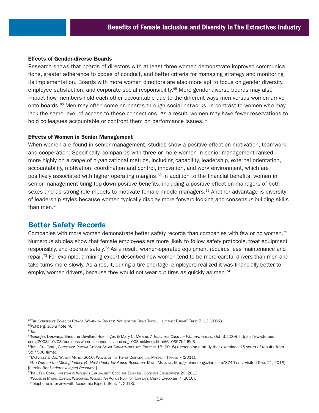#### Effects of Gender-diverse Boards

Research shows that boards of directors with at least three women demonstrate improved communications, greater adherence to codes of conduct, and better criteria for managing strategy and monitoring its implementation. Boards with more women directors are also more apt to focus on gender diversity, employee satisfaction, and corporate social responsibility.<sup>65</sup> More gender-diverse boards may also impact how members hold each other accountable due to the different ways men versus women arrive onto boards.<sup>66</sup> Men may often come on boards through social networks, in contrast to women who may lack the same level of access to these connections. As a result, women may have fewer reservations to hold colleagues accountable or confront them on performance issues.<sup>67</sup>

#### Effects of Women in Senior Management

When women are found in senior management, studies show a positive effect on motivation, teamwork, and cooperation. Specifically, companies with three or more women in senior management ranked more highly on a range of organizational metrics, including capability, leadership, external orientation, accountability, motivation, coordination and control, innovation, and work environment, which are positively associated with higher operating margins.<sup>68</sup> In addition to the financial benefits, women in senior management bring top-down positive benefits, including a positive effect on managers of both sexes and as strong role models to motivate female middle managers.<sup>69</sup> Another advantage is diversity of leadership styles because women typically display more forward-looking and consensus-building skills than men.<sup>70</sup>

## Better Safety Records

Companies with more women demonstrate better safety records than companies with few or no women.<sup>71</sup> Numerous studies show that female employees are more likely to follow safety protocols, treat equipment responsibly, and operate safely.72 As a result, women-operated equipment requires less maintenance and repair.<sup>73</sup> For example, a mining expert described how women tend to be more careful drivers than men and take turns more slowly. As a result, during a tire shortage, employers realized it was financially better to employ women drivers, because they would not wear out tires as quickly as men.<sup>74</sup>

<sup>65</sup>The Conference Board of Canada, Women on Boards: Not Just the Right Thing ... but the "Bright" Thing 5, 13 (2002). 66Walberg, *supra* note 46.

 $67$ *Id.* 

<sup>68</sup>Georges Desvaux, Sandrine Devillard-Hoellinger, & Mary C. Meane, *A Business Case for Women,* Forbes, Oct. 3, 2008, [https://www.forbes.](https://www.forbes.com/2008/10/03/business-women-economics-lead-cx_1003mckinsey.html#610357b2d5d3)

[com/2008/10/03/business-women-economics-lead-cx\\_1003mckinsey.html#610357b2d5d3](https://www.forbes.com/2008/10/03/business-women-economics-lead-cx_1003mckinsey.html#610357b2d5d3).<br><sup>69</sup>lмт'∟ Fiм. Совр., Sнєwовкs: Ритпис Gємоєв Sмавт Соммітмємтs імто Рвастісє 15 (2016) (describing a study that examined 15 years of results S&P 500 firms).

<sup>&</sup>lt;sup>70</sup>McKinsey & Co., Women Matter 2010: Women at the Top of Corporations Making it Happen 7 (2011).<br><sup>71</sup>Are Women the Mining Industry's Most Underdeveloped Resource, Mines Magazine,<http://minesmagazine.com/8749> (last visit [hereinafter *Underdeveloped Resource*].

<sup>72</sup>Int'l Fin. Corp., Investing in Women's Employment: Good for Business, Good for Development 20, 2013.

<sup>73</sup>Women in Mining Canada, Welcoming Women: An Action Plan for Canada's Mining Employers 7 (2016).

<sup>&</sup>lt;sup>74</sup>Telephone interview with Academic Expert (Sept. 4, 2018).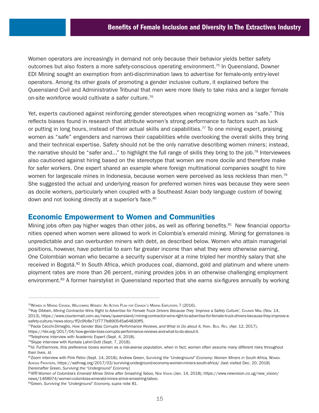Women operators are increasingly in demand not only because their behavior yields better safety outcomes but also fosters a more safety-conscious operating environment.75 In Queensland, Downer EDI Mining sought an exemption from anti-discrimination laws to advertise for female-only entry-level operators. Among its other goals of promoting a gender inclusive culture, it explained before the Queensland Civil and Administrative Tribunal that men were more likely to take risks and a larger female on-site workforce would cultivate a safer culture.<sup>76</sup>

Yet, experts cautioned against reinforcing gender stereotypes when recognizing women as "safe." This reflects biases found in research that attribute women's strong performance to factors such as luck or putting in long hours, instead of their actual skills and capabilities.<sup>77</sup> To one mining expert, praising women as "safe" engenders and narrows their capabilities while overlooking the overall skills they bring and their technical expertise. Safety should not be the only narrative describing women miners; instead, the narrative should be "safer and..." to highlight the full range of skills they bring to the job.<sup>78</sup> Interviewees also cautioned against hiring based on the stereotype that women are more docile and therefore make for safer workers. One expert shared an example where foreign multinational companies sought to hire women for largescale mines in Indonesia, because women were perceived as less reckless than men.<sup>79</sup> She suggested the actual and underlying reason for preferred women hires was because they were seen as docile workers, particularly when coupled with a Southeast Asian body language custom of bowing down and not looking directly at a superior's face.<sup>80</sup>

## Economic Empowerment to Women and Communities

Mining jobs often pay higher wages than other jobs, as well as offering benefits.<sup>81</sup> New financial opportunities opened when women were allowed to work in Colombia's emerald mining. Mining for gemstones is unpredictable and can overburden miners with debt, as described below. Women who attain managerial positions, however, have potential to earn far greater income than what they were otherwise earning. One Colombian woman who became a security supervisor at a mine tripled her monthly salary that she received in Bogotá.<sup>82</sup> In South Africa, which produces coal, diamond, gold and platinum and where unemployment rates are more than 26 percent, mining provides jobs in an otherwise challenging employment environment.<sup>83</sup> A former hairstylist in Queensland reported that she earns six-figures annually by working

<https://hbr.org/2017/04/how-gender-bias-corrupts-performance-reviews-and-what-to-do-about-it>.

<sup>75</sup>Women in Mining Canada, Welcoming Women: An Action Plan for Canada's Mining Employers 7 (2016).

<sup>76</sup>Kay Dibben, *Mining Contractor Wins Right to Advertise for Female Truck Drivers Because They 'Improve a Safety Culture',* Courier Mail (Nov. 14, 2013), [https://www.couriermail.com.au/news/queensland/mining-contractor-wins-right-to-advertise-for-female-truck-drivers-because-they-improve-a](https://www.couriermail.com.au/news/queensland/mining-contractor-wins-right-to-advertise-for-female-truck-drivers-because-they-improve-a-safety-culture/news-story/ff2c9fc8e71f777fe890545a64830ff5)[safety-culture/news-story/ff2c9fc8e71f777fe890545a64830ff5.](https://www.couriermail.com.au/news/queensland/mining-contractor-wins-right-to-advertise-for-female-truck-drivers-because-they-improve-a-safety-culture/news-story/ff2c9fc8e71f777fe890545a64830ff5)<br><sup>77</sup>Paola Cecchi-Dimeglio, *How Gender Bias Corrupts Performance Reviews, and What to Do about It, Harv. Bus. Rev. (Apr. 12, 2017),* 

<sup>&</sup>lt;sup>78</sup>Telephone interview with Academic Expert (Sept. 4, 2018).

<sup>79</sup>Skype interview with Kuntala Lahiri-Dutt (Sept. 7, 2018).

<sup>80</sup>*Id.* Furthermore, this preference boxes women as a risk-averse population, when in fact, women often assume many different risks throughout their lives. *Id.*

<sup>81</sup>Zoom interview with Pink Petro (Sept. 14, 2018); Andrew Green, *Surviving the "Underground" Economy: Women Miners in South Africa,* Women Across Frontiers, <https://wafmag.org/2017/03/surviving-underground-economy-women-miners-south-africa/> (last visited Dec. 20, 2018) [hereinafter Green, *Surviving the "Underground" Economy*]

<sup>82</sup>AFP, Women of Colombia's Emerald Mines Shine after Smashing Taboo, New Vision (Jan. 14, 2018), [https://www.newvision.co.ug/new\\_vision/](https://www.newvision.co.ug/new_vision/news/1468974/women-colombias-emerald-mines-shine-smashing-taboo) [news/1468974/women-colombias-emerald-mines-shine-smashing-taboo](https://www.newvision.co.ug/new_vision/news/1468974/women-colombias-emerald-mines-shine-smashing-taboo).

<sup>83</sup>Green, *Surviving the "Underground" Economy, supra* note 81.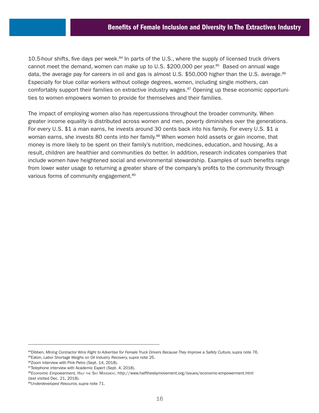10.5-hour shifts, five days per week.<sup>84</sup> In parts of the U.S., where the supply of licensed truck drivers cannot meet the demand, women can make up to U.S. \$200,000 per year.<sup>85</sup> Based on annual wage data, the average pay for careers in oil and gas is almost U.S. \$50,000 higher than the U.S. average. $86$ Especially for blue collar workers without college degrees, women, including single mothers, can comfortably support their families on extractive industry wages. $87$  Opening up these economic opportunities to women empowers women to provide for themselves and their families.

The impact of employing women also has repercussions throughout the broader community. When greater income equality is distributed across women and men, poverty diminishes over the generations. For every U.S. \$1 a man earns, he invests around 30 cents back into his family. For every U.S. \$1 a woman earns, she invests 80 cents into her family.<sup>88</sup> When women hold assets or gain income, that money is more likely to be spent on their family's nutrition, medicines, education, and housing. As a result, children are healthier and communities do better. In addition, research indicates companies that include women have heightened social and environmental stewardship. Examples of such benefits range from lower water usage to returning a greater share of the company's profits to the community through various forms of community engagement.<sup>89</sup>

<sup>84</sup>Dibben, Mining Contractor Wins Right to Advertise for Female Truck Drivers Because They Improve a Safety Culture, supra note 76. 85Eaton, *Labor Shortage Weighs on Oil Industry Recovery, supra* note 25.

<sup>86</sup>Zoom interview with Pink Petro (Sept. 14, 2018).

<sup>87</sup>Telephone interview with Academic Expert (Sept. 4, 2018).

<sup>88</sup>*Economic Empowerment*, HALF THE SKY MOVEMENT, <http://www.halftheskymovement.org/issues/economic-empowerment.html> (last visited Dec. 21, 2018).

<sup>89</sup>*Underdeveloped Resource, supra* note 71.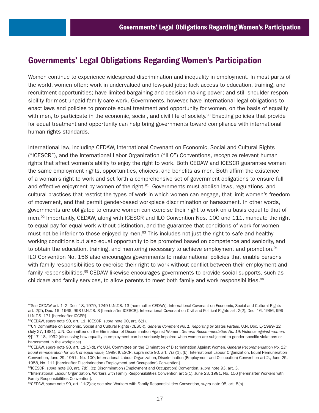# Governments' Legal Obligations Regarding Women's Participation

Women continue to experience widespread discrimination and inequality in employment. In most parts of the world, women often: work in undervalued and low-paid jobs; lack access to education, training, and recruitment opportunities; have limited bargaining and decision-making power; and still shoulder responsibility for most unpaid family care work. Governments, however, have international legal obligations to enact laws and policies to promote equal treatment and opportunity for women, on the basis of equality with men, to participate in the economic, social, and civil life of society.<sup>90</sup> Enacting policies that provide for equal treatment and opportunity can help bring governments toward compliance with international human rights standards.

International law, including CEDAW, International Covenant on Economic, Social and Cultural Rights ("ICESCR"), and the International Labor Organization ("ILO") Conventions, recognize relevant human rights that affect women's ability to enjoy the right to work. Both CEDAW and ICESCR guarantee women the same employment rights, opportunities, choices, and benefits as men. Both affirm the existence of a woman's right to work and set forth a comprehensive set of government obligations to ensure full and effective enjoyment by women of the right.<sup>91</sup> Governments must abolish laws, regulations, and cultural practices that restrict the types of work in which women can engage, that limit women's freedom of movement, and that permit gender-based workplace discrimination or harassment. In other words, governments are obligated to ensure women can exercise their right to work on a basis equal to that of men.<sup>92</sup> Importantly, CEDAW, along with ICESCR and ILO Convention Nos. 100 and 111, mandate the right to equal pay for equal work without distinction, and the guarantee that conditions of work for women must not be inferior to those enjoyed by men.<sup>93</sup> This includes not just the right to safe and healthy working conditions but also equal opportunity to be promoted based on competence and seniority, and to obtain the education, training, and mentoring necessary to achieve employment and promotion.<sup>94</sup> ILO Convention No. 156 also encourages governments to make national policies that enable persons with family responsibilities to exercise their right to work without conflict between their employment and family responsibilities.<sup>95</sup> CEDAW likewise encourages governments to provide social supports, such as childcare and family services, to allow parents to meet both family and work responsibilities. $96$ 

<sup>90</sup>*See* CEDAW art. 1–2, Dec. 18, 1979, 1249 U.N.T.S. 13 [hereinafter CEDAW]; International Covenant on Economic, Social and Cultural Rights art. 2(2), Dec. 16, 1966, 993 U.N.T.S. 3 [hereinafter ICESCR]; International Covenant on Civil and Political Rights art. 2(2), Dec. 16, 1966, 999 U.N.T.S. 171 [hereinafter ICCPR].

<sup>91</sup>CEDAW, *supra* note 90, art. 11; ICESCR, *supra* note 90, art. 6(1).

<sup>92</sup>UN Committee on Economic, Social and Cultural Rights (CESCR), *General Comment No. 1: Reporting by States Parties,* U.N. Doc. E/1989/22 (July 27, 1981); U.N. Committee on the Elimination of Discrimination Against Women, *General Recommendation No. 19: Violence against women,* ¶¶ 17–18, 1992 (discussing how equality in employment can be seriously impaired when women are subjected to gender specific violations or harassment in the workplace).

<sup>93</sup>CEDAW, supra note 90, art. 11(1)(d), (f); U.N. Committee on the Elimination of Discrimination Against Women, General Recommendation No. 13: *Equal remuneration for work of equal value,* 1989; ICESCR, supra note 90, art. 7(a)(1), (b); International Labour Organization, Equal Remuneration Convention, June 29, 1951, No. 100; International Labour Organization, Discrimination (Employment and Occupation) Convention art 2., June 25, 1958, No. 111 [hereinafter Discrimination (Employment and Occupation) Convention].

<sup>94</sup>ICESCR, *supra* note 90, art. 7(b), (c); Discrimination (Employment and Occupation) Convention, *supra* note 93, art. 3.

<sup>95</sup>International Labour Organization, Workers with Family Responsibilities Convention art 3(1), June 23, 1981, No. 156 [hereinafter Workers with Family Responsibilities Convention].

<sup>96</sup>CEDAW, *supra* note 90, art. 11(2)(c); see also Workers with Family Responsibilities Convention, *supra* note 95, art. 5(b).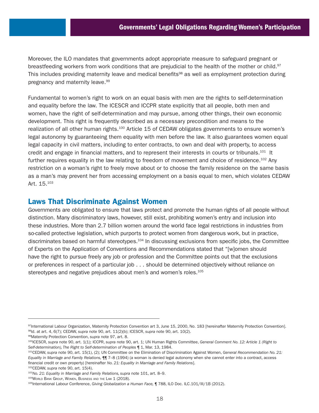Moreover, the ILO mandates that governments adopt appropriate measure to safeguard pregnant or breastfeeding workers from work conditions that are prejudicial to the health of the mother or child.<sup>97</sup> This includes providing maternity leave and medical benefits<sup>98</sup> as well as employment protection during pregnancy and maternity leave.<sup>99</sup>

Fundamental to women's right to work on an equal basis with men are the rights to self-determination and equality before the law. The ICESCR and ICCPR state explicitly that all people, both men and women, have the right of self-determination and may pursue, among other things, their own economic development. This right is frequently described as a necessary precondition and means to the realization of all other human rights.<sup>100</sup> Article 15 of CEDAW obligates governments to ensure women's legal autonomy by guaranteeing them equality with men before the law. It also guarantees women equal legal capacity in civil matters, including to enter contracts, to own and deal with property, to access credit and engage in financial matters, and to represent their interests in courts or tribunals.<sup>101</sup> It further requires equality in the law relating to freedom of movement and choice of residence.<sup>102</sup> Any restriction on a woman's right to freely move about or to choose the family residence on the same basis as a man's may prevent her from accessing employment on a basis equal to men, which violates CEDAW Art. 15.103

## Laws That Discriminate Against Women

Governments are obligated to ensure that laws protect and promote the human rights of all people without distinction. Many discriminatory laws, however, still exist, prohibiting women's entry and inclusion into these industries. More than 2.7 billion women around the world face legal restrictions in industries from so-called protective legislation, which purports to protect women from dangerous work, but in practice, discriminates based on harmful stereotypes.<sup>104</sup> In discussing exclusions from specific jobs, the Committee of Experts on the Application of Conventions and Recommendations stated that "[w]omen should have the right to pursue freely any job or profession and the Committee points out that the exclusions or preferences in respect of a particular job . . . should be determined objectively without reliance on stereotypes and negative prejudices about men's and women's roles.<sup>105</sup>

102CEDAW, *supra* note 90, art. 15(4).

<sup>97</sup>International Labour Organization, Maternity Protection Convention art 3, June 15, 2000, No. 183 [hereinafter Maternity Protection Convention]. 98Id. at art. 4, 6(7); CEDAW, *supra* note 90, art. 11(2)(b); ICESCR, *supra* note 90, art. 10(2).

<sup>99</sup>Maternity Protection Convention, *supra* note 97, art. 8.

<sup>100</sup>ICESCR, *supra* note 90, art. 1(1); ICCPR, *supra* note 90, art. 1; UN Human Rights Committee, *General Comment No. 12: Article 1 (Right to Self-determination), The Right to Self-determination of Peoples* ¶ 1, Mar. 13, 1984.

<sup>101</sup>CEDAW, *supra* note 90, art. 15(1), (2); UN Committee on the Elimination of Discrimination Against Women, *General Recommendation No. 21: Equality in Marriage and Family Relations,* ¶¶ 7–8 (1994) (a woman is denied legal autonomy when she cannot enter into a contract, access financial credit or own property) [hereinafter *No. 21: Equality in Marriage and Family Relations*].

<sup>103</sup>*No. 21: Equality in Marriage and Family Relations, supra* note 101, art. 8–9.

<sup>&</sup>lt;sup>104</sup>World Bank Group, Women, Business and the Law 1 (2018).<br><sup>105</sup>International Labour Conference, Giving Globalization a Human Face, ¶ 788, ILO Doc. ILC.101/III/1B (2012).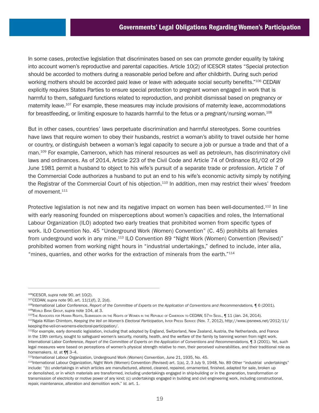In some cases, protective legislation that discriminates based on sex can promote gender equality by taking into account women's reproductive and parental capacities. Article 10(2) of ICESCR states "Special protection should be accorded to mothers during a reasonable period before and after childbirth. During such period working mothers should be accorded paid leave or leave with adequate social security benefits."106 CEDAW explicitly requires States Parties to ensure special protection to pregnant women engaged in work that is harmful to them, safeguard functions related to reproduction, and prohibit dismissal based on pregnancy or maternity leave.<sup>107</sup> For example, these measures may include provisions of maternity leave, accommodations for breastfeeding, or limiting exposure to hazards harmful to the fetus or a pregnant/nursing woman.<sup>108</sup>

But in other cases, countries' laws perpetuate discrimination and harmful stereotypes. Some countries have laws that require women to obey their husbands, restrict a woman's ability to travel outside her home or country, or distinguish between a woman's legal capacity to secure a job or pursue a trade and that of a man.<sup>109</sup> For example, Cameroon, which has mineral resources as well as petroleum, has discriminatory civil laws and ordinances. As of 2014, Article 223 of the Civil Code and Article 74 of Ordinance 81/02 of 29 June 1981 permit a husband to object to his wife's pursuit of a separate trade or profession. Article 7 of the Commercial Code authorizes a husband to put an end to his wife's economic activity simply by notifying the Registrar of the Commercial Court of his objection.<sup>110</sup> In addition, men may restrict their wives' freedom of movement.<sup>111</sup>

Protective legislation is not new and its negative impact on women has been well-documented.<sup>112</sup> In line with early reasoning founded on misperceptions about women's capacities and roles, the International Labour Organization (ILO) adopted two early treaties that prohibited women from specific types of work. ILO Convention No. 45 "Underground Work (Women) Convention" (C. 45) prohibits all females from underground work in any mine.113 ILO Convention 89 "Night Work (Women) Convention (Revised)" prohibited women from working night hours in "industrial undertakings," defined to include, inter alia, "mines, quarries, and other works for the extraction of minerals from the earth."114

<sup>106</sup>ICESCR, *supra* note 90, art 10(2).

<sup>&</sup>lt;sup>107</sup>CEDAW, supra note 90, art. 11(1)(f), 2, 2(d).<br><sup>108</sup>International Labor Conference, *Report of the Committee of Experts on the Application of Conventions and Recommendations, ¶ 6 (2001).* <sup>109</sup>World Bank Group, *supra* note 104, at 3.<br><sup>110</sup>The Advocates for Human Rights, Submission on the Rights of Women in the Republic of Cameroon to CEDAW, 57th Sess., ¶ 11 (Jan. 24, 2014).

<sup>111</sup>Ngala Killian Chimtom, *Keeping the Veil on Women's Electoral Participation,* Inter Press Service (Nov. 7, 2012), [http://www.ipsnews.net/2012/11/](http://www.ipsnews.net/2012/11/keeping-the-veil-on-womens-electoral-participation/) [keeping-the-veil-on-womens-electoral-participation/.](http://www.ipsnews.net/2012/11/keeping-the-veil-on-womens-electoral-participation/)

<sup>112</sup>For example, early domestic legislation, including that adopted by England, Switzerland, New Zealand, Austria, the Netherlands, and France in the 19th century, sought to safeguard women's security, morality, health, and the welfare of the family by banning women from night work. International Labor Conference, *Report of the Committee of Experts on the Application of Conventions and Recommendations,* ¶ 3 (2001). Yet, such legal measures were based on perceptions of women's physical strength relative to men, their perceived vulnerabilities, and their traditional role as homemakers. *Id.* at ¶¶ 3–4.

<sup>113</sup>International Labour Organization, Underground Work (Women) Convention, June 21, 1935, No. 45.

<sup>114</sup>International Labour Organization, Night Work (Women) Convention (Revised) art. 1(a), 2, 3 July 9, 1948, No. 89 Other "industrial undertakings" include: "(b) undertakings in which articles are manufactured, altered, cleaned, repaired, ornamented, finished, adapted for sale, broken up or demolished, or in which materials are transformed, including undertakings engaged in ship-building or in the generation, transformation or transmission of electricity or motive power of any kind; (c) undertakings engaged in building and civil engineering work, including constructional, repair, maintenance, alteration and demolition work." *Id.* art. 1.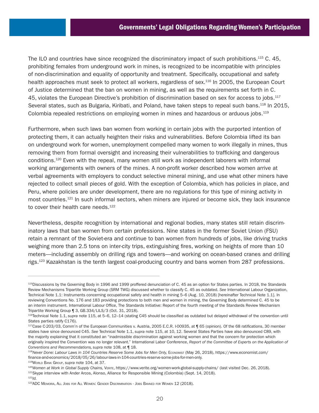The ILO and countries have since recognized the discriminatory impact of such prohibitions.<sup>115</sup> C. 45, prohibiting females from underground work in mines, is recognized to be incompatible with principles of non-discrimination and equality of opportunity and treatment. Specifically, occupational and safety health approaches must seek to protect all workers, regardless of sex.<sup>116</sup> In 2005, the European Court of Justice determined that the ban on women in mining, as well as the requirements set forth in C. 45, violates the European Directive's prohibition of discrimination based on sex for access to iobs.<sup>117</sup> Several states, such as Bulgaria, Kiribati, and Poland, have taken steps to repeal such bans.<sup>118</sup> In 2015, Colombia repealed restrictions on employing women in mines and hazardous or arduous jobs.<sup>119</sup>

Furthermore, when such laws ban women from working in certain jobs with the purported intention of protecting them, it can actually heighten their risks and vulnerabilities. Before Colombia lifted its ban on underground work for women, unemployment compelled many women to work illegally in mines, thus removing them from formal oversight and increasing their vulnerabilities to trafficking and dangerous conditions.120 Even with the repeal, many women still work as independent laborers with informal working arrangements with owners of the mines. A non-profit worker described how women arrive at verbal agreements with employers to conduct selective mineral mining, and use what other miners have rejected to collect small pieces of gold. With the exception of Colombia, which has policies in place, and Peru, where policies are under development, there are no regulations for this type of mining activity in most countries.<sup>121</sup> In such informal sectors, when miners are injured or become sick, they lack insurance to cover their health care needs.<sup>122</sup>

Nevertheless, despite recognition by international and regional bodies, many states still retain discriminatory laws that ban women from certain professions. Nine states in the former Soviet Union (FSU) retain a remnant of the Soviet-era and continue to ban women from hundreds of jobs, like driving trucks weighing more than 2.5 tons on inter-city trips, extinguishing fires, working on heights of more than 10 meters—including assembly on drilling rigs and towers—and working on ocean-based cranes and drilling rigs.<sup>123</sup> Kazakhstan is the tenth largest coal-producing country and bans women from 287 professions.

<sup>115</sup>Discussions by the Governing Body in 1996 and 1999 proffered denunciation of C. 45 as an option for States parties. In 2018, the Standards Review Mechanisms Tripartite Working Group (SRM TWG) discussed whether to classify C. 45 as outdated. *See* International Labour Organization, Technical Note 1.1: Instruments concerning occupational safety and health in mining 5–6 (Aug. 10, 2018) [hereinafter Technical Note 1.1]. In reviewing Conventions No. 176 and 183 providing protections to both men and women in mining, the Governing Body determined C. 45 to be an interim instrument. International Labour Office, The Standards Initiative: Report of the fourth meeting of the Standards Review Mechanism Tripartite Working Group ¶ 3, GB.334/LILS/3 (Oct. 31, 2018).

<sup>116</sup>Technical Note 1.1, *supra* note 115, at 5–6, 12–14 (stating C45 should be classified as outdated but delayed withdrawal of the convention until States parties ratify C176).

<sup>117</sup>Case C-203/03, Comm'n of the European Communities v. Austria, 2005 E.C.R. I-00935, at ¶ 65 (opinion). Of the 68 ratifications, 30 member states have since denounced C45. *See* Technical Note 1.1, *supra* note 115, at 10, 12. Several States Parties have also denounced C89, with the majority explaining that it constituted an "inadmissible discrimination against working women and that the concern for protection which originally inspired the Convention was no longer relevant." International Labor Conference, *Report of the Committee of Experts on the Application of Conventions and Recommendations, supra* note 108, at ¶ 18.

<sup>118</sup>*Never Done: Labour Laws in 104 Countries Reserve Some Jobs for Men Only,* Economist (May 26, 2018), [https://www.economist.com/](https://www.economist.com/finance-and-economics/2018/05/26/labour-laws-in-104-countries-reserve-some-jobs-for-men-only) [finance-and-economics/2018/05/26/labour-laws-in-104-countries-reserve-some-jobs-for-men-only.](https://www.economist.com/finance-and-economics/2018/05/26/labour-laws-in-104-countries-reserve-some-jobs-for-men-only)

<sup>&</sup>lt;sup>119</sup>World Bank Group, supra note 104, at 37.<br><sup>120</sup>Women at Work in Global Supply Chains, VERITE,<https://www.verite.org/women-work-global-supply-chains/>(last visited Dec. 26, 2018).<br><sup>121</sup>Skype interview with Ander Arcos,

<sup>123</sup>ADC Memoria, All Jobs for All Women: Gender Discrimination - Jobs Banned for Women 12 (2018).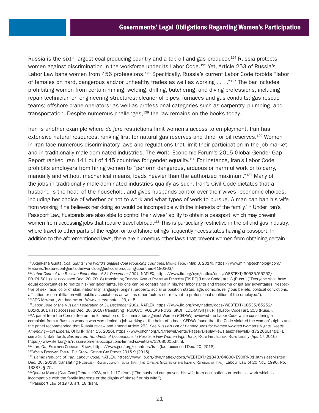Russia is the sixth largest coal-producing country and a top oil and gas producer.<sup>124</sup> Russia protects women against discrimination in the workforce under its Labor Code.<sup>125</sup> Yet, Article 253 of Russia's Labor Law bans women from 456 professions.<sup>126</sup> Specifically, Russia's current Labor Code forbids "labor of females on hard, dangerous and/or unhealthy trades as well as working . . . ."127 The bar includes prohibiting women from certain mining, welding, drilling, butchering, and diving professions, including repair technician on engineering structures; cleaner of pipes, furnaces and gas conduits; gas rescue teams; offshore crane operators; as well as professional categories such as carpentry, plumbing, and transportation. Despite numerous challenges, $128$  the law remains on the books today.

Iran is another example where *de jure* restrictions limit women's access to employment. Iran has extensive natural resources, ranking first for natural gas reserves and third for oil reserves.<sup>129</sup> Women in Iran face numerous discriminatory laws and regulations that limit their participation in the job market and in traditionally male-dominated industries. The World Economic Forum's 2015 Global Gender Gap Report ranked Iran 141 out of 145 countries for gender equality.<sup>130</sup> For instance, Iran's Labor Code prohibits employers from hiring women to "perform dangerous, arduous or harmful work or to carry, manually and without mechanical means, loads heavier than the authorized maximum."<sup>131</sup> Many of the jobs in traditionally male-dominated industries qualify as such. Iran's Civil Code dictates that a husband is the head of the household, and gives husbands control over their wives' economic choices, including her choice of whether or not to work and what types of work to pursue. A man can ban his wife from working if he believes her doing so would be incompatible with the interests of the family.<sup>132</sup> Under Iran's Passport Law, husbands are also able to control their wives' ability to obtain a passport, which may prevent women from accessing jobs that require travel abroad.<sup>133</sup> This is particularly restrictive in the oil and gas industry, where travel to other parts of the region or to offshore oil rigs frequently necessitates having a passport. In addition to the aforementioned laws, there are numerous other laws that prevent women from obtaining certain

<sup>124</sup>Akanksha Gupta, Coal Giants: The World's Biggest Coal Producing Countries, Mining Tech. (Mar. 3, 2014), [https://www.mining-technology.com/](https://www.mining-technology.com/features/featurecoal-giants-the-worlds-biggest-coal-producing-countries-4186363/) [features/featurecoal-giants-the-worlds-biggest-coal-producing-countries-4186363/.](https://www.mining-technology.com/features/featurecoal-giants-the-worlds-biggest-coal-producing-countries-4186363/) 125*Labor Code of the Russian Federation of 31 December 2001,* NATLEX, [https://www.ilo.org/dyn/natlex/docs/WEBTEXT/60535/65252/](https://www.ilo.org/dyn/natlex/docs/WEBTEXT/60535/65252/E01RUS01)

[E01RUS01](https://www.ilo.org/dyn/natlex/docs/WEBTEXT/60535/65252/E01RUS01) (last accessed Dec. 20, 2018) translating Trudovoi Kodeks Rossiiskoi FEDERATSII [TK RF] [Labor Code] art. 3 (Russ.) ("Everyone shall have equal opportunities to realize his/her labor rights. No one can be constrained in his/her labor rights and freedoms or get any advantages irrespective of sex, race, color of skin, nationality, language, origins, property, social or position status, age, domicile, religious beliefs, political convictions, affiliation or non-affiliation with public associations as well as other factors not relevant to professional qualities of the employee."). <sup>126</sup>ADC Memorial, All Jobs for All Women, *supra* note 123, at 5.

<sup>127</sup>*Labor Code of the Russian Federation of 31 December 2001,* NATLEX, [https://www.ilo.org/dyn/natlex/docs/WEBTEXT/60535/65252/](https://www.ilo.org/dyn/natlex/docs/WEBTEXT/60535/65252/E01RUS01) [E01RUS01](https://www.ilo.org/dyn/natlex/docs/WEBTEXT/60535/65252/E01RUS01) (last accessed Dec. 20, 2018) translating TRUDOVOI KODEKS ROSSIISKOI FEDERATSII [TK RF] [Labor Code] art. 253 (Russ.).

<sup>128</sup>A panel from the Committee on the Elimination of Discrimination against Women (CEDAW) reviewed the Labor Code while considering a complaint from a Russian woman who was denied a job working at the helm of a boat. CEDAW found that the Code violated the woman's rights and the panel recommended that Russia review and amend Article 253. *See Russia's List of Banned Jobs for Women Violated Woman's Rights, Needs Amending—UN Experts,* OHCHR (Mar. 15, 2016), [https://www.ohchr.org/EN/NewsEvents/Pages/DisplayNews.aspx?NewsID=17226&LangID=E;](https://www.ohchr.org/EN/NewsEvents/Pages/DisplayNews.aspx?NewsID=17226&LangID=E) see also T. Balmforth, *Barred from Hundreds of Occupations in Russia, a Few Women Fight Back, RADIO* FREE Europe RADIO LIBERTY (Apr. 17 2016)

<https://www.rferl.org/a/russia-womens-occupations-limited-soviet-law/27680005.html>.<br><sup>129</sup>Iran, GAS Exporting Countries Forum, https://www.gecf.org/countries/iran (last accessed Dec. 20, 2018).<br><sup>130</sup>World Economic Forum, Th

<sup>131</sup>*Islamic Republic of Iran: Labour Code,* NATLEX,<https://www.ilo.org/dyn/natlex/docs/WEBTEXT/21843/64830/E90IRN01.htm>(last visited Dec. 20, 2018), translating Ruznamehi Rasmi Jumhuri Islami Iran [The Official Gazette of the Islamic Republic of Iran], Labour Law of 20 Nov. 1990, No. 13387, § 75.

<sup>132</sup>Quanuni Madani [Civil Code] Tehran 1928, art. 1117 (Iran) ("The husband can prevent his wife from occupations or technical work which is incompatible with the family interests or the dignity of himself or his wife.").

<sup>133</sup>Passport Law of 1973, art. 18 (Iran).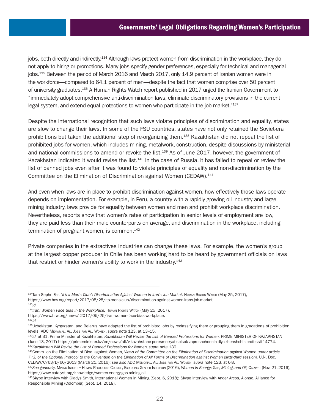jobs, both directly and indirectly.<sup>134</sup> Although laws protect women from discrimination in the workplace, they do not apply to hiring or promotions. Many jobs specify gender preferences, especially for technical and managerial jobs.<sup>135</sup> Between the period of March 2016 and March 2017, only 14.9 percent of Iranian women were in the workforce—compared to 64.1 percent of men—despite the fact that women comprise over 50 percent of university graduates.136 A Human Rights Watch report published in 2017 urged the Iranian Government to "immediately adopt comprehensive anti-discrimination laws, eliminate discriminatory provisions in the current legal system, and extend equal protections to women who participate in the job market."<sup>137</sup>

Despite the international recognition that such laws violate principles of discrimination and equality, states are slow to change their laws. In some of the FSU countries, states have not only retained the Soviet-era prohibitions but taken the additional step of re-organizing them.138 Kazakhstan did not repeal the list of prohibited jobs for women, which includes mining, metalwork, construction, despite discussions by ministerial and national commissions to amend or revoke the list.<sup>139</sup> As of June 2017, however, the government of Kazakhstan indicated it would revise the list.<sup>140</sup> In the case of Russia, it has failed to repeal or review the list of banned jobs even after it was found to violate principles of equality and non-discrimination by the Committee on the Elimination of Discrimination against Women (CEDAW).<sup>141</sup>

And even when laws are in place to prohibit discrimination against women, how effectively those laws operate depends on implementation. For example, in Peru, a country with a rapidly growing oil industry and large mining industry, laws provide for equality between women and men and prohibit workplace discrimination. Nevertheless, reports show that women's rates of participation in senior levels of employment are low, they are paid less than their male counterparts on average, and discrimination in the workplace, including termination of pregnant women, is common.<sup>142</sup>

Private companies in the extractives industries can change these laws. For example, the women's group at the largest copper producer in Chile has been working hard to be heard by government officials on laws that restrict or hinder women's ability to work in the industry.<sup>143</sup>

<sup>134</sup>Tara Sephri Far, *"It's a Men's Club": Discrimination Against Women in Iran's Job Market,* Human Rights Watch (May 25, 2017), <https://www.hrw.org/report/2017/05/25/its-mens-club/discrimination-against-women-irans-job-market>. 135*Id.*

<sup>136</sup>*Iran: Women Face Bias in the Workplace, Human Rights Watch (May 25, 2017),* 

<https://www.hrw.org/news/>2017/05/25/iran-women-face-bias-workplace. 137*Id.*

<sup>138</sup>Uzbekistan, Kyrgyzstan, and Belarus have adapted the list of prohibited jobs by reclassifying them or grouping them in gradations of prohibition levels. ADC Memorial, All Jobs for All Women, *supra* note 123, at 13–15.

<sup>139</sup>*Id.* at 31; Prime Minister of Kazakhstan, *Kazakhstan Will Revise the List of Banned Professions for Women,* PRIME MINISTER OF KAZAKHSTAN (June 13, 2017) [https://primeminister.kz/en/news/all/v-kazahstane-peresmotryat-spisok-zapreshchennih-dlya-zhenshchin-professii-14774.](https://primeminister.kz/en/news/all/v-kazahstane-peresmotryat-spisok-zapreshchennih-dlya-zhenshchin-professii-14774) <sup>140</sup>*Kazakhstan Will Revise the List of Banned Professions for Women, supra* note 139.

<sup>141</sup>Comm. on the Elimination of Disc. against Women, *Views of the Committee on the Elimination of Discrimination against Women under article 7 (3) of the Optional Protocol to the Convention on the Elimination of All Forms of Discrimination against Women (sixty-third session),* U.N. Doc.

CEDAW/C/63/D/60/2013 (March 21, 2016); see also ADC МEмовы., ALL Joвs For ALL WoмEn, supra note 123, at 6-8.<br><sup>142</sup>See generally, Mining Inpustry Human Resources Council, Exploring Genper Inclusion (2016); Women in Energy: <https://www.catalyst.org/knowledge/women-energy-gas-mining-oil>.

<sup>143</sup>Skype interview with Gladys Smith, International Women in Mining (Sept. 6, 2018); Skype interview with Ander Arcos, Alonso, Alliance for Responsible Mining (Colombia) (Sept. 14, 2018).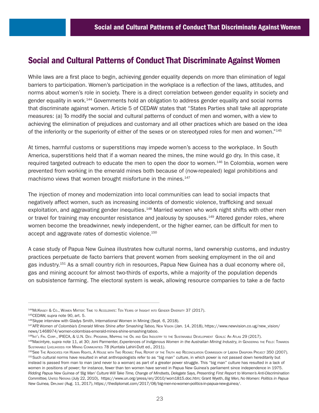# Social and Cultural Patterns of Conduct That Discriminate Against Women

While laws are a first place to begin, achieving gender equality depends on more than elimination of legal barriers to participation. Women's participation in the workplace is a reflection of the laws, attitudes, and norms about women's role in society. There is a direct correlation between gender equality in society and gender equality in work.144 Governments hold an obligation to address gender equality and social norms that discriminate against women. Article 5 of CEDAW states that "States Parties shall take all appropriate measures: (a) To modify the social and cultural patterns of conduct of men and women, with a view to achieving the elimination of prejudices and customary and all other practices which are based on the idea of the inferiority or the superiority of either of the sexes or on stereotyped roles for men and women."145

At times, harmful customs or superstitions may impede women's access to the workplace. In South America, superstitions held that if a woman neared the mines, the mine would go dry. In this case, it required targeted outreach to educate the men to open the door to women.<sup>146</sup> In Colombia, women were prevented from working in the emerald mines both because of (now-repealed) legal prohibitions and machismo views that women brought misfortune in the mines.<sup>147</sup>

The injection of money and modernization into local communities can lead to social impacts that negatively affect women, such as increasing incidents of domestic violence, trafficking and sexual exploitation, and aggravating gender inequities.<sup>148</sup> Married women who work night shifts with other men or travel for training may encounter resistance and jealousy by spouses.<sup>149</sup> Altered gender roles, where women become the breadwinner, newly independent, or the higher earner, can be difficult for men to accept and aggravate rates of domestic violence.150

A case study of Papua New Guinea illustrates how cultural norms, land ownership customs, and industry practices perpetuate de facto barriers that prevent women from seeking employment in the oil and gas industry.151 As a small country rich in resources, Papua New Guinea has a dual economy where oil, gas and mining account for almost two-thirds of exports, while a majority of the population depends on subsistence farming. The electoral system is weak, allowing resource companies to take a de facto

<sup>144</sup>McKinsey & Co., Women Matter: Time to Accelerate: Ten Years of Insight into Gender Diversity 37 (2017). 145CEDAW, *supra* note 90, art. 5.

<sup>&</sup>lt;sup>146</sup>Skype interview with Gladys Smith, International Women in Mining (Sept. 6, 2018).<br><sup>147</sup>AFP, Women of Colombia's Emerald Mines Shine after Smashing Taboo, New Vision (Jan. 14, 2018), https://www.newvision.co.ug/new\_vis [news/1468974/women-colombias-emerald-mines-shine-smashing-taboo](https://www.newvision.co.ug/new_vision/news/1468974/women-colombias-emerald-mines-shine-smashing-taboo).<br><sup>148</sup>lмг'∟ Fin. Cor.P., IPIECA, & U.N. Dɛv. Рrосrам, Маррімс тнє Oі∟амо Gas Iмризтку то тнє Sизтамавце DɛvɛLормемт Goals: An Aтlas 29 (2017).<br><sup>149</sup>Macintyre

SUSTAINABLE LIVELIHOODS FOR MINING COMMUNITIES 78 (Kuntala Lahiri-Dutt ed., 2011).<br><sup>150</sup>See The Advocates for Human Rights, A House with Two Rooms: Final Report of the Truth and Reconcillation Commission of Liberia Diaspor instead is passed from man to man (and never to a woman) as part of a greater power struggle. This "big man" culture has resulted in a lack of women in positions of power; for instance, fewer than ten women have served in Papua New Guinea's parliament since independence in 1975. *Ridding Papua New Guinea of 'Big Man' Culture Will Take Time, Change of Mindsets, Delegate Says, Presenting First Report to Women's Anti-Discrimination Committee,* United Nations (July 22, 2010), [https://www.un.org/press/en/2010/wom1815.doc.htm;](https://www.un.org/press/en/2010/wom1815.doc.htm) Grant Wyeth, *Big Men, No Women: Politics in Papua New Guinea,* Diplomat (Aug. 11, 2017), [https://thediplomat.com/2017/08/big-men-no-women-politics-in-papua-new-guinea/.](https://thediplomat.com/2017/08/big-men-no-women-politics-in-papua-new-guinea/)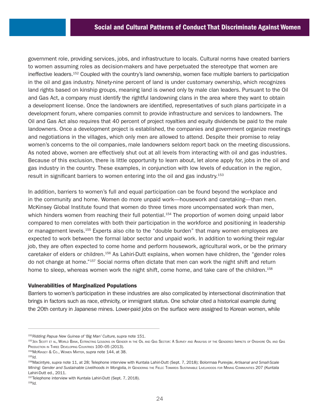government role, providing services, jobs, and infrastructure to locals. Cultural norms have created barriers to women assuming roles as decision-makers and have perpetuated the stereotype that women are ineffective leaders.152 Coupled with the country's land ownership, women face multiple barriers to participation in the oil and gas industry. Ninety-nine percent of land is under customary ownership, which recognizes land rights based on kinship groups, meaning land is owned only by male clan leaders. Pursuant to the Oil and Gas Act, a company must identify the rightful landowning clans in the area where they want to obtain a development license. Once the landowners are identified, representatives of such plans participate in a development forum, where companies commit to provide infrastructure and services to landowners. The Oil and Gas Act also requires that 40 percent of project royalties and equity dividends be paid to the male landowners. Once a development project is established, the companies and government organize meetings and negotiations in the villages, which only men are allowed to attend. Despite their promise to relay women's concerns to the oil companies, male landowners seldom report back on the meeting discussions. As noted above, women are effectively shut out at all levels from interacting with oil and gas industries. Because of this exclusion, there is little opportunity to learn about, let alone apply for, jobs in the oil and gas industry in the country. These examples, in conjunction with low levels of education in the region, result in significant barriers to women entering into the oil and gas industry.<sup>153</sup>

In addition, barriers to women's full and equal participation can be found beyond the workplace and in the community and home. Women do more unpaid work—housework and caretaking—than men. McKinsey Global Institute found that women do three times more uncompensated work than men, which hinders women from reaching their full potential.<sup>154</sup> The proportion of women doing unpaid labor compared to men correlates with both their participation in the workforce and positioning in leadership or management levels.155 Experts also cite to the "double burden" that many women employees are expected to work between the formal labor sector and unpaid work. In addition to working their regular job, they are often expected to come home and perform housework, agricultural work, or be the primary caretaker of elders or children.156 As Lahiri-Dutt explains, when women have children, the "gender roles do not change at home."157 Social norms often dictate that men can work the night shift and return home to sleep, whereas women work the night shift, come home, and take care of the children.<sup>158</sup>

## Vulnerabilities of Marginalized Populations

Barriers to women's participation in these industries are also complicated by intersectional discrimination that brings in factors such as race, ethnicity, or immigrant status. One scholar cited a historical example during the 20th century in Japanese mines. Lower-paid jobs on the surface were assigned to Korean women, while

<sup>152</sup>*Ridding Papua New Guinea of 'Big Man' Culture, supra* note 151.

<sup>153</sup>Jen Scott et al, World Bank, Extracting Lessons on Gender in the Oil and Gas Sector: A Survey and Analysis of the Gendered Impacts of Onshore Oil and Gas PRODUCTION IN THREE DEVELOPING COUNTRIES 100-05 (2013).

<sup>154</sup>McKinsey & Co., Women Matter, *supra* note 144, at 38.

<sup>155</sup>*Id.*

<sup>156</sup>Macintyre, *supra* note 11, at 28; Telephone interview with Kuntala Lahiri-Dutt (Sept. 7, 2018); Bolormaa Purevjav, *Artisanal and Small-Scale*  Mining: Gender and Sustainable Livelihoods in Mongolia, in GENDERING THE FIELD: TOWARDS SUSTAINABLE LIVELIHOODS FOR MINING COMMUNITIES 207 (Kuntala Lahiri-Dutt ed., 2011.

<sup>157</sup>Telephone interview with Kuntala Lahiri-Dutt (Sept. 7, 2018).

<sup>158</sup>*Id.*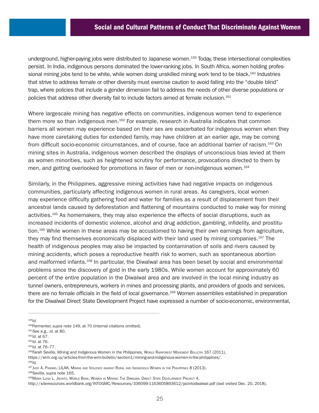underground, higher-paying jobs were distributed to Japanese women.<sup>159</sup> Today, these intersectional complexities persist. In India, indigenous persons dominated the lower-ranking jobs. In South Africa, women holding professional mining jobs tend to be white, while women doing unskilled mining work tend to be black.<sup>160</sup> Industries that strive to address female or other diversity must exercise caution to avoid falling into the "double blind" trap, where policies that include a gender dimension fail to address the needs of other diverse populations or policies that address other diversity fail to include factors aimed at female inclusion.161

Where largescale mining has negative effects on communities, indigenous women tend to experience them more so than indigenous men.<sup>162</sup> For example, research in Australia indicates that common barriers all women may experience based on their sex are exacerbated for indigenous women when they have more caretaking duties for extended family, may have children at an earlier age, may be coming from difficult socio-economic circumstances, and of course, face an additional barrier of racism.163 On mining sites in Australia, indigenous women described the displays of unconscious bias levied at them as women minorities, such as heightened scrutiny for performance, provocations directed to them by men, and getting overlooked for promotions in favor of men or non-indigenous women.<sup>164</sup>

Similarly, in the Philippines, aggressive mining activities have had negative impacts on indigenous communities, particularly affecting indigenous women in rural areas. As caregivers, local women may experience difficulty gathering food and water for families as a result of displacement from their ancestral lands caused by deforestation and flattening of mountains conducted to make way for mining activities.<sup>165</sup> As homemakers, they may also experience the effects of social disruptions, such as increased incidents of domestic violence, alcohol and drug addiction, gambling, infidelity, and prostitution.<sup>166</sup> While women in these areas may be accustomed to having their own earnings from agriculture, they may find themselves economically displaced with their land used by mining companies.167 The health of indigenous peoples may also be impacted by contamination of soils and rivers caused by mining accidents, which poses a reproductive health risk to women, such as spontaneous abortion and malformed infants.168 In particular, the Diwalwal area has been beset by social and environmental problems since the discovery of gold in the early 1980s. While women account for approximately 60 percent of the entire population in the Diwalwal area and are involved in the local mining industry as tunnel owners, entrepreneurs, workers in mines and processing plants, and providers of goods and services, there are no female officials in the field of local governance.169 Women assemblies established in preparation for the Diwalwal Direct State Development Project have expressed a number of socio-economic, environmental,

<sup>159</sup>*Id.*

<sup>166</sup>*Id.*

<sup>&</sup>lt;sup>160</sup>Parmenter, *supra* note 149, at 70 (internal citations omitted).<br><sup>161</sup>See e.g., *id.* at 80. 162*Jd.* at 67.

<sup>&</sup>lt;sup>163</sup>*Id.* at 76.<br><sup>164</sup>*Id.* at 76–77.<br><sup>165</sup>Farah Sevilla, *Mining and Indigenous Women in the Philippines, World Rainforest Movement Bulletin 167 (2011),* [https://wrm.org.uy/articles-from-the-wrm-bulletin/section1/mining-and-indigenous-women-in-the-philippines/.](https://wrm.org.uy/articles-from-the-wrm-bulletin/section1/mining-and-indigenous-women-in-the-philippines/)

<sup>167</sup>Judy A. Pasimio, LILAK, Mining and Violence against Rural and Indigenous Women in the Philippines 8 (2013).

<sup>168</sup>Sevilla, *supra* note 165.

<sup>169</sup>Maria Luisa L. Jacinto, World Bank, Women in Mining: The Diwalwal Direct State Development Project 4,

<http://siteresources.worldbank.org/INTOGMC/Resources/336099-1163605893612/jacintodwalwal.pdf> (last visited Dec. 20, 2018).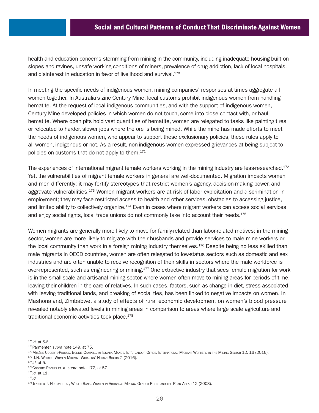health and education concerns stemming from mining in the community, including inadequate housing built on slopes and ravines, unsafe working conditions of miners, prevalence of drug addiction, lack of local hospitals, and disinterest in education in favor of livelihood and survival.<sup>170</sup>

In meeting the specific needs of indigenous women, mining companies' responses at times aggregate all women together. In Australia's zinc Century Mine, local customs prohibit indigenous women from handling hematite. At the request of local indigenous communities, and with the support of indigenous women, Century Mine developed policies in which women do not touch, come into close contact with, or haul hematite. Where open pits hold vast quantities of hematite, women are relegated to tasks like painting tires or relocated to harder, slower jobs where the ore is being mined. While the mine has made efforts to meet the needs of indigenous women, who appear to support these exclusionary policies, these rules apply to all women, indigenous or not. As a result, non-indigenous women expressed grievances at being subject to policies on customs that do not apply to them.<sup>171</sup>

The experiences of international migrant female workers working in the mining industry are less-researched.<sup>172</sup> Yet, the vulnerabilities of migrant female workers in general are well-documented. Migration impacts women and men differently; it may fortify stereotypes that restrict women's agency, decision-making power, and aggravate vulnerabilities.<sup>173</sup> Women migrant workers are at risk of labor exploitation and discrimination in employment; they may face restricted access to health and other services, obstacles to accessing justice, and limited ability to collectively organize.174 Even in cases where migrant workers can access social services and enjoy social rights, local trade unions do not commonly take into account their needs.<sup>175</sup>

Women migrants are generally more likely to move for family-related than labor-related motives; in the mining sector, women are more likely to migrate with their husbands and provide services to male mine workers or the local community than work in a foreign mining industry themselves.<sup>176</sup> Despite being no less skilled than male migrants in OECD countries, women are often relegated to low-status sectors such as domestic and sex industries and are often unable to receive recognition of their skills in sectors where the male workforce is over-represented, such as engineering or mining.<sup>177</sup> One extractive industry that sees female migration for work is in the small-scale and artisanal mining sector, where women often move to mining areas for periods of time, leaving their children in the care of relatives. In such cases, factors, such as change in diet, stress associated with leaving traditional lands, and breaking of social ties, has been linked to negative impacts on women. In Mashonaland, Zimbabwe, a study of effects of rural economic development on women's blood pressure revealed notably elevated levels in mining areas in comparison to areas where large scale agriculture and traditional economic activities took place.178

<sup>170</sup>*Id.* at 5-6.

<sup>&</sup>lt;sup>171</sup>Parmenter, su*pra* note 149, at 75.<br><sup>172</sup>Mylène Coderre-Proulx, Bonnie Campell, & Issiaka Mande, Int'l Labour Office, International Migrant Workers in the Mining Sector 12, 16 (2016). 173U.N. Women, Women Migrant Workers' Human Rights 2 (2016). 174*Id.* at 5.

<sup>175</sup>Coderre-Proulx et al, *supra* note 172, at 57.

<sup>176</sup>*Id.* at 11.

<sup>177</sup>*Id.*

<sup>178</sup> Jennifer J. Hinton et al, World Bank, Women in Artisanal Mining: Gender Roles and the Road Ahead 12 (2003).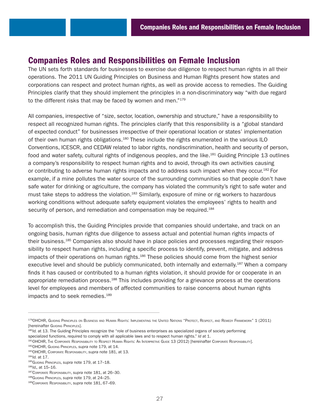# Companies Roles and Responsibilities on Female Inclusion

The UN sets forth standards for businesses to exercise due diligence to respect human rights in all their operations. The 2011 UN Guiding Principles on Business and Human Rights present how states and corporations can respect and protect human rights, as well as provide access to remedies. The Guiding Principles clarify that they should implement the principles in a non-discriminatory way "with due regard to the different risks that may be faced by women and men."<sup>179</sup>

All companies, irrespective of "size, sector, location, ownership and structure," have a responsibility to respect all recognized human rights. The principles clarify that this responsibility is a "global standard of expected conduct" for businesses irrespective of their operational location or states' implementation of their own human rights obligations.180 These include the rights enumerated in the various ILO Conventions, ICESCR, and CEDAW related to labor rights, nondiscrimination, health and security of person, food and water safety, cultural rights of indigenous peoples, and the like.<sup>181</sup> Guiding Principle 13 outlines a company's responsibility to respect human rights and to avoid, through its own activities causing or contributing to adverse human rights impacts and to address such impact when they occur.<sup>182</sup> For example, if a mine pollutes the water source of the surrounding communities so that people don't have safe water for drinking or agriculture, the company has violated the community's right to safe water and must take steps to address the violation.<sup>183</sup> Similarly, exposure of mine or rig workers to hazardous working conditions without adequate safety equipment violates the employees' rights to health and security of person, and remediation and compensation may be required.<sup>184</sup>

To accomplish this, the Guiding Principles provide that companies should undertake, and track on an ongoing basis, human rights due diligence to assess actual and potential human rights impacts of their business.185 Companies also should have in place policies and processes regarding their responsibility to respect human rights, including a specific process to identify, prevent, mitigate, and address impacts of their operations on human rights.<sup>186</sup> These policies should come from the highest senior executive level and should be publicly communicated, both internally and externally.<sup>187</sup> When a company finds it has caused or contributed to a human rights violation, it should provide for or cooperate in an appropriate remediation process. $188$  This includes providing for a grievance process at the operations level for employees and members of affected communities to raise concerns about human rights impacts and to seek remedies.<sup>189</sup>

<sup>179</sup>OHCHR, Guiding Principles on Business and Human Rights: Implementing the United Nations "Protect, Respect, and Remedy Framework" 1 (2011) [hereinafter Guiding Principles].<br><sup>180</sup>*Id.* at 13. The Guiding Principles recognize the "role of business enterprises as specialized organs of society performing

specialized functions, required to comply with all applicable laws and to respect human rights." *Id* at 1.

<sup>181</sup>OHCHR, THE CORPORATE RESPONSIBILITY TO RESPECT HUMAN RIGHTS: AN INTERPRETIVE GUIDE 13 (2012) [hereinafter Corporate Responsibility].

<sup>182</sup>OHCHR, Guiding Principles, *supra* note 179, at 14.

<sup>183</sup>OHCHR, Corporate Responsibility, *supra* note 181, at 13.

<sup>184</sup>*Id.* at 17.

<sup>185</sup>Guiding Principles, *supra* note 179, at 17–18.

<sup>186</sup>*Id.,* at 15–16.

<sup>187</sup>Corporate Responsibility, *supra* note 181, at 26–30.

<sup>188</sup>Guiding Principles, *supra* note 179, at 24–25.

<sup>189</sup>Corporate Responsibility, *supra* note 181, 67–69.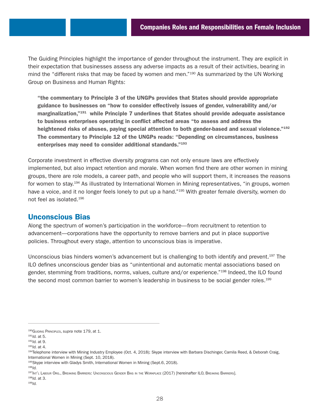The Guiding Principles highlight the importance of gender throughout the instrument. They are explicit in their expectation that businesses assess any adverse impacts as a result of their activities, bearing in mind the "different risks that may be faced by women and men."<sup>190</sup> As summarized by the UN Working Group on Business and Human Rights:

"the commentary to Principle 3 of the UNGPs provides that States should provide appropriate guidance to businesses on "how to consider effectively issues of gender, vulnerability and/or marginalization,"191 while Principle 7 underlines that States should provide adequate assistance to business enterprises operating in conflict affected areas "to assess and address the heightened risks of abuses, paying special attention to both gender-based and sexual violence."<sup>192</sup> The commentary to Principle 12 of the UNGPs reads: "Depending on circumstances, business enterprises may need to consider additional standards."193

Corporate investment in effective diversity programs can not only ensure laws are effectively implemented, but also impact retention and morale. When women find there are other women in mining groups, there are role models, a career path, and people who will support them, it increases the reasons for women to stay.<sup>194</sup> As illustrated by International Women in Mining representatives, "in groups, women have a voice, and it no longer feels lonely to put up a hand."<sup>195</sup> With greater female diversity, women do not feel as isolated.196

## Unconscious Bias

Along the spectrum of women's participation in the workforce—from recruitment to retention to advancement—corporations have the opportunity to remove barriers and put in place supportive policies. Throughout every stage, attention to unconscious bias is imperative.

Unconscious bias hinders women's advancement but is challenging to both identify and prevent.197 The ILO defines unconscious gender bias as "unintentional and automatic mental associations based on gender, stemming from traditions, norms, values, culture and/or experience."<sup>198</sup> Indeed, the ILO found the second most common barrier to women's leadership in business to be social gender roles.<sup>199</sup>

<sup>190</sup>Guiding Principles, *supra* note 179, at 1.

<sup>191</sup>*Id.* at 5.

<sup>192</sup>*Id.* at 9.

<sup>193</sup>*Id.* at 4.

<sup>194</sup>Telephone interview with Mining Industry Employee (Oct. 4, 2018); Skype interview with Barbara Dischinger, Camila Reed, & Deborah Craig, International Women in Mining (Sept. 10, 2018).

<sup>195</sup>Skype interview with Gladys Smith, International Women in Mining (Sept.6, 2018).

<sup>196</sup>*Id.*

<sup>197</sup>Int'l Labour Org., Breaking Barriers: Unconscious Gender Bias in the Workplace (2017) [hereinafter ILO, Breaking Barriers].

<sup>198</sup>*Id.* at 3.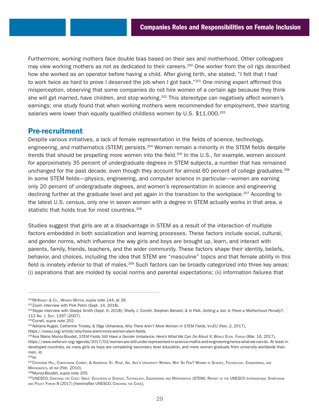Furthermore, working mothers face double bias based on their sex and motherhood. Other colleagues may view working mothers as not as dedicated to their careers.200 One worker from the oil rigs described how she worked as an operator before having a child. After giving birth, she stated, "I felt that I had to work twice as hard to prove I deserved the job when I got back."<sup>201</sup> One mining expert affirmed this misperception, observing that some companies do not hire women of a certain age because they think she will get married, have children, and stop working.<sup>202</sup> This stereotype can negatively affect women's earnings; one study found that when working mothers were recommended for employment, their starting salaries were lower than equally qualified childless women by U.S.  $$11,000.^{203}$ 

## Pre-recruitment

Despite various initiatives, a lack of female representation in the fields of science, technology, engineering, and mathematics (STEM) persists.<sup>204</sup> Women remain a minority in the STEM fields despite trends that should be propelling more women into the field.<sup>205</sup> In the U.S., for example, women account for approximately 35 percent of undergraduate degrees in STEM subjects, a number that has remained unchanged for the past decade, even though they account for almost 60 percent of college graduates.<sup>206</sup> In some STEM fields—physics, engineering, and computer science in particular—women are earning only 20 percent of undergraduate degrees, and women's representation in science and engineering declining further at the graduate level and yet again in the transition to the workplace.<sup>207</sup> According to the latest U.S. census, only one in seven women with a degree in STEM actually works in that area, a statistic that holds true for most countries.<sup>208</sup>

Studies suggest that girls are at a disadvantage in STEM as a result of the interaction of multiple factors embedded in both socialization and learning processes. These factors include social, cultural, and gender norms, which influence the way girls and boys are brought up, learn, and interact with parents, family, friends, teachers, and the wider community. These factors shape their identity, beliefs, behavior, and choices, including the idea that STEM are "masculine" topics and that female ability in this field is innately inferior to that of males.209 Such factors can be broadly categorized into three key areas: (i) aspirations that are molded by social norms and parental expectations; (ii) information failures that

<sup>&</sup>lt;sup>200</sup>МсКімѕєт & Со., Wомєм Маттєв, s*upra* note 144, at 39.<br><sup>201</sup>Zoom interview with Pink Petro (Sept. 14, 2018).<br><sup>202</sup>Skype interview with Gladys Smith (Sept. 6, 2018); Shelly J. Correll, Stephen Benard, & In Paik, Getti <sup>112</sup>Am. J. Soc. 1297 (2007). 203Correll, *supra* note 202.

<sup>204</sup>Adriana Kugler, Catherine Tinsley, & Olga Ukhaneva, *Why There Aren't More Women in STEM Fields,* VoxEU (Nov. 2, 2017), <https://voxeu.org/article/why-there-arent-more-women-stem-fields>.

<sup>205</sup>Ana Maria Munoz-Boudet, *STEM Fields Still Have a Gender Imbalance. Here's What We Can Do About It*, World Econ. Forum (Mar. 16, 2017), <https://www.weforum.org/agenda/2017/03/women-are-still-under-represented-in-science-maths-and-engineering-heres-what-we-can-do>. At least in developed countries, as many girls as boys are completing secondary level education, and more women graduate from university worldwide than men. *Id.*

<sup>206</sup>*Id.*

<sup>207</sup>Catherine Hill, Christianne Corbet, & Andresse St. Rose, Am. Ass'n University Women, Why So Few? Women in Science, Technology, Engineering, and Mathematics, at xvi (Feb. 2010).

<sup>208</sup>Munoz-Boudet, *supra* note 205.

<sup>209</sup>UNESCO, Cracking the Code: Girls' Education in Science, Technology, Engineering and Mathematics (STEM): Report of the UNESCO International Symposium AND POLICY FORUM 8 (2017) [hereinafter UNESCO, CRACKING THE CODE].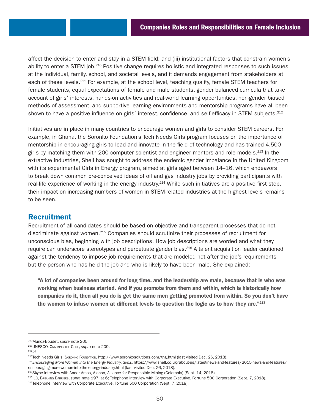affect the decision to enter and stay in a STEM field; and (iii) institutional factors that constrain women's ability to enter a STEM job.<sup>210</sup> Positive change requires holistic and integrated responses to such issues at the individual, family, school, and societal levels, and it demands engagement from stakeholders at each of these levels.<sup>211</sup> For example, at the school level, teaching quality, female STEM teachers for female students, equal expectations of female and male students, gender balanced curricula that take account of girls' interests, hands-on activities and real-world learning opportunities, non-gender biased methods of assessment, and supportive learning environments and mentorship programs have all been shown to have a positive influence on girls' interest, confidence, and self-efficacy in STEM subjects.<sup>212</sup>

Initiatives are in place in many countries to encourage women and girls to consider STEM careers. For example, in Ghana, the Soronko Foundation's Tech Needs Girls program focuses on the importance of mentorship in encouraging girls to lead and innovate in the field of technology and has trained 4,500 girls by matching them with 200 computer scientist and engineer mentors and role models.<sup>213</sup> In the extractive industries, Shell has sought to address the endemic gender imbalance in the United Kingdom with its experimental Girls in Energy program, aimed at girls aged between 14–16, which endeavors to break down common pre-conceived ideas of oil and gas industry jobs by providing participants with real-life experience of working in the energy industry.<sup>214</sup> While such initiatives are a positive first step, their impact on increasing numbers of women in STEM-related industries at the highest levels remains to be seen.

## Recruitment

Recruitment of all candidates should be based on objective and transparent processes that do not discriminate against women.215 Companies should scrutinize their processes of recruitment for unconscious bias, beginning with job descriptions. How job descriptions are worded and what they require can underscore stereotypes and perpetuate gender bias.<sup>216</sup> A talent acquisition leader cautioned against the tendency to impose job requirements that are modeled not after the job's requirements but the person who has held the job and who is likely to have been male. She explained:

"A lot of companies been around for long time, and the leadership are male, because that is who was working when business started. And if you promote from them and within, which is historically how companies do it, then all you do is get the same men getting promoted from within. So you don't have the women to infuse women at different levels to question the logic as to how they are."<sup>217</sup>

<sup>212</sup>*Id.*

<sup>210</sup>Munoz-Boudet, *supra* note 205.

<sup>211</sup>UNESCO, Cracking the Code, *supra* note 209.

<sup>213</sup>Tech Needs Girls, Sокомко Foundation, <http://www.soronkosolutions.com/tng.html>(last visited Dec. 26, 2018).

<sup>214</sup>*Encouraging More Women into the Energy Industry,* Shell, [https://www.shell.co.uk/about-us/latest-news-and-features/2015-news-and-features/](https://www.shell.co.uk/about-us/latest-news-and-features/2015-news-and-features/encouraging-more-women-into-the-energy-industry.html) [encouraging-more-women-into-the-energy-industry.html](https://www.shell.co.uk/about-us/latest-news-and-features/2015-news-and-features/encouraging-more-women-into-the-energy-industry.html) (last visited Dec. 26, 2018).

<sup>&</sup>lt;sup>215</sup>Skype interview with Ander Arcos, Alonso, Alliance for Responsible Mining (Colombia) (Sept. 14, 2018).

<sup>&</sup>lt;sup>216</sup>ILO, BREAKING BARRIERS, supra note 197, at 6; Telephone interview with Corporate Executive, Fortune 500 Corporation (Sept. 7, 2018).<br><sup>217</sup>Telephone interview with Corporate Executive, Fortune 500 Corporation (Sept. 7,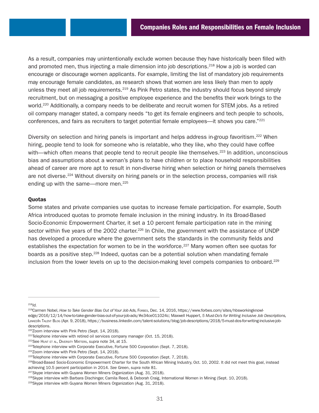As a result, companies may unintentionally exclude women because they have historically been filled with and promoted men, thus injecting a male dimension into job descriptions.<sup>218</sup> How a job is worded can encourage or discourage women applicants. For example, limiting the list of mandatory job requirements may encourage female candidates, as research shows that women are less likely than men to apply unless they meet all job requirements.<sup>219</sup> As Pink Petro states, the industry should focus beyond simply recruitment, but on messaging a positive employee experience and the benefits their work brings to the world.<sup>220</sup> Additionally, a company needs to be deliberate and recruit women for STEM jobs. As a retired oil company manager stated, a company needs "to get its female engineers and tech people to schools, conferences, and fairs as recruiters to target potential female employees—it shows you care."221

Diversity on selection and hiring panels is important and helps address in-group favoritism.<sup>222</sup> When hiring, people tend to look for someone who is relatable, who they like, who they could have coffee with—which often means that people tend to recruit people like themselves.<sup>223</sup> In addition, unconscious bias and assumptions about a woman's plans to have children or to place household responsibilities ahead of career are more apt to result in non-diverse hiring when selection or hiring panels themselves are not diverse.224 Without diversity on hiring panels or in the selection process, companies will risk ending up with the same—more men.<sup>225</sup>

## Quotas

Some states and private companies use quotas to increase female participation. For example, South Africa introduced quotas to promote female inclusion in the mining industry. In its Broad-Based Socio-Economic Empowerment Charter, it set a 10 percent female participation rate in the mining sector within five years of the 2002 charter.<sup>226</sup> In Chile, the government with the assistance of UNDP has developed a procedure where the government sets the standards in the community fields and establishes the expectation for women to be in the workforce.<sup>227</sup> Many women often see quotas for boards as a positive step.<sup>228</sup> Indeed, quotas can be a potential solution when mandating female inclusion from the lower levels on up to the decision-making level compels companies to onboard.<sup>229</sup>

<sup>218</sup>*Id.*

<sup>219</sup>Carmen Nobel, *How to Take Gender Bias Out of Your Job Ads,* Forbes, Dec. 14, 2016, [https://www.forbes.com/sites/hbsworkingknowl](https://www.forbes.com/sites/hbsworkingknowledge/2016/12/14/how-to-take-gender-bias-out-of-your-job-ads/#e34ce011024c)[edge/2016/12/14/how-to-take-gender-bias-out-of-your-job-ads/#e34ce011024c;](https://www.forbes.com/sites/hbsworkingknowledge/2016/12/14/how-to-take-gender-bias-out-of-your-job-ads/#e34ce011024c) Maxwell Huppert, *5 Must-Do's for Writing Inclusive Job Descriptions,* LinkedIn Talent Blog (Apr. 9, 2018), [https://business.linkedin.com/talent-solutions/blog/job-descriptions/2018/5-must-dos-for-writing-inclusive-job](https://business.linkedin.com/talent-solutions/blog/job-descriptions/2018/5-must-dos-for-writing-inclusive-job-descriptions)[descriptions.](https://business.linkedin.com/talent-solutions/blog/job-descriptions/2018/5-must-dos-for-writing-inclusive-job-descriptions)

 $220$ Zoom interview with Pink Petro (Sept. 14, 2018).<br> $221$ Telephone interview with retired oil services company manager (Oct. 15, 2018).

<sup>&</sup>lt;sup>222</sup>See Hunt Et al, Diversity Matters, *supra* note 34, at 15.<br><sup>223</sup>Telephone interview with Corporate Executive, Fortune 500 Corporation (Sept. 7, 2018).

<sup>&</sup>lt;sup>224</sup>Zoom interview with Pink Petro (Sept. 14, 2018).

<sup>&</sup>lt;sup>225</sup>Telephone interview with Corporate Executive, Fortune 500 Corporation (Sept. 7, 2018).

<sup>&</sup>lt;sup>226</sup>Broad-Based Socio-Economic Empowerment Charter for the South African Mining Industry, Oct. 10, 2002. It did not meet this goal, instead achieving 10.5 percent participation in 2014. *See* Green, *supra* note 81.

<sup>&</sup>lt;sup>227</sup>Skype interview with Guyana Women Miners Organization (Aug. 31, 2018).

<sup>228</sup>Skype interview with Barbara Dischinger, Camila Reed, & Deborah Craig, International Women in Mining (Sept. 10, 2018).

<sup>&</sup>lt;sup>229</sup>Skype interview with Guyana Women Miners Organization (Aug. 31, 2018).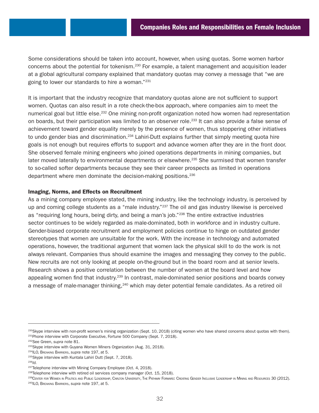Some considerations should be taken into account, however, when using quotas. Some women harbor concerns about the potential for tokenism.230 For example, a talent management and acquisition leader at a global agricultural company explained that mandatory quotas may convey a message that "we are going to lower our standards to hire a woman."231

It is important that the industry recognize that mandatory quotas alone are not sufficient to support women. Quotas can also result in a rote check-the-box approach, where companies aim to meet the numerical goal but little else.232 One mining non-profit organization noted how women had representation on boards, but their participation was limited to an observer role.<sup>233</sup> It can also provide a false sense of achievement toward gender equality merely by the presence of women, thus stoppering other initiatives to undo gender bias and discrimination.<sup>234</sup> Lahiri-Dutt explains further that simply meeting quota hire goals is not enough but requires efforts to support and advance women after they are in the front door. She observed female mining engineers who joined operations departments in mining companies, but later moved laterally to environmental departments or elsewhere.<sup>235</sup> She surmised that women transfer to so-called softer departments because they see their career prospects as limited in operations department where men dominate the decision-making positions.<sup>236</sup>

## Imaging, Norms, and Effects on Recruitment

As a mining company employee stated, the mining industry, like the technology industry, is perceived by up and coming college students as a "male industry."237 The oil and gas industry likewise is perceived as "requiring long hours, being dirty, and being a man's job."<sup>238</sup> The entire extractive industries sector continues to be widely regarded as male-dominated, both in workforce and in industry culture. Gender-biased corporate recruitment and employment policies continue to hinge on outdated gender stereotypes that women are unsuitable for the work. With the increase in technology and automated operations, however, the traditional argument that women lack the physical skill to do the work is not always relevant. Companies thus should examine the images and messaging they convey to the public. New recruits are not only looking at people on-the-ground but in the board room and at senior levels. Research shows a positive correlation between the number of women at the board level and how appealing women find that industry.<sup>239</sup> In contrast, male-dominated senior positions and boards convey a message of male-manager thinking, 240 which may deter potential female candidates. As a retired oil

<sup>&</sup>lt;sup>230</sup>Skype interview with non-profit women's mining organization (Sept. 10, 2018) (citing women who have shared concerns about quotas with them).

<sup>&</sup>lt;sup>231</sup>Phone interview with Corporate Executive, Fortune 500 Company (Sept. 7, 2018).<br><sup>232</sup>See Green, *supra* note 81.

<sup>&</sup>lt;sup>233</sup>Skype interview with Guyana Women Miners Organization (Aug. 31, 2018).

<sup>234</sup>ILO, Breaking Barriers, *supra* note 197, at 5.

<sup>&</sup>lt;sup>235</sup>Skype interview with Kuntala Lahiri Dutt (Sept. 7, 2018).<br><sup>236</sup>*Id.* 

<sup>&</sup>lt;sup>237</sup>Telephone interview with Mining Company Employee (Oct. 4, 2018).

<sup>&</sup>lt;sup>238</sup>Telephone interview with retired oil services company manager (Oct. 15, 2018).

<sup>239</sup>CENTER FOR WOMEN IN POLITICS AND PUBLIC LEADERSHIP, CARLTON UNIVERSITY, THE PATHWAY FORWARD: CREATING GENDER INCLUSIVE LEADERSHIP IN MINING AND RESOURCES 30 (2012).

<sup>240</sup>ILO, Breaking Barriers, *supra* note 197, at 5.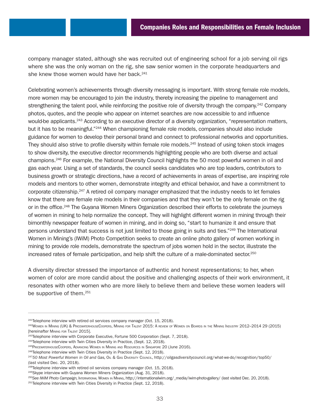company manager stated, although she was recruited out of engineering school for a job serving oil rigs where she was the only woman on the rig, she saw senior women in the corporate headquarters and she knew those women would have her back.<sup>241</sup>

Celebrating women's achievements through diversity messaging is important. With strong female role models, more women may be encouraged to join the industry, thereby increasing the pipeline to management and strengthening the talent pool, while reinforcing the positive role of diversity through the company.<sup>242</sup> Company photos, quotes, and the people who appear on internet searches are now accessible to and influence would-be applicants.<sup>243</sup> According to an executive director of a diversity organization, "representation matters, but it has to be meaningful."<sup>244</sup> When championing female role models, companies should also include guidance for women to develop their personal brand and connect to professional networks and opportunities. They should also strive to profile diversity within female role models.<sup>245</sup> Instead of using token stock images to show diversity, the executive director recommends highlighting people who are both diverse and actual champions.246 For example, the National Diversity Council highlights the 50 most powerful women in oil and gas each year. Using a set of standards, the council seeks candidates who are top leaders, contributors to business growth or strategic directions, have a record of achievements in areas of expertise, are inspiring role models and mentors to other women, demonstrate integrity and ethical behavior, and have a commitment to corporate citizenship.247 A retired oil company manager emphasized that the industry needs to let females know that there are female role models in their companies and that they won't be the only female on the rig or in the office.<sup>248</sup> The Guyana Women Miners Organization described their efforts to celebrate the journeys of women in mining to help normalize the concept. They will highlight different women in mining through their bimonthly newspaper feature of women in mining, and in doing so, "start to humanize it and ensure that persons understand that success is not just limited to those going in suits and ties."<sup>249</sup> The International Women in Mining's (IWiM) Photo Competition seeks to create an online photo gallery of women working in mining to provide role models, demonstrate the spectrum of jobs women hold in the sector, illustrate the increased rates of female participation, and help shift the culture of a male-dominated sector.250

A diversity director stressed the importance of authentic and honest representations; to her, when women of color are more candid about the positive and challenging aspects of their work environment, it resonates with other women who are more likely to believe them and believe these women leaders will be supportive of them.<sup>251</sup>

 $241$ Telephone interview with retired oil services company manager (Oct. 15, 2018).

<sup>&</sup>lt;sup>242</sup>Women in Mining (UK) & PricewaterhouseCoopers, Mining for Talent 2015: A review of Women on Boards in the Mining Industry 2012–2014 29 (2015) [hereinafter Mining for Talent 2015].

<sup>&</sup>lt;sup>243</sup>Telephone interview with Corporate Executive, Fortune 500 Corporation (Sept. 7, 2018).

<sup>&</sup>lt;sup>244</sup>Telephone interview with Twin Cities Diversity in Practice, (Sept. 12, 2018).

<sup>245</sup> PRICEWATERHOUSE COOPERS, ADVANCING WOMEN IN MINING AND RESOURCES IN SINGAPORE 20 (JUNE 2016).

<sup>&</sup>lt;sup>246</sup>Telephone interview with Twin Cities Diversity in Practice (Sept. 12, 2018).

<sup>247</sup>*50 Most Powerful Women in Oil and Gas,* Oil & Gas Diversity Council,<http://oilgasdiversitycouncil.org/what-we-do/recognition/top50/> (last visited Dec. 20, 2018).

<sup>&</sup>lt;sup>248</sup>Telephone interview with retired oil services company manager (Oct. 15, 2018).

<sup>&</sup>lt;sup>249</sup>Skype interview with Guyana Women Miners Organization (Aug. 31, 2018).

<sup>250</sup>*See IWiM Photo Campaign,* International Women in Mining, [http://internationalwim.org/\\_media/iwim-photo-gallery/](http://internationalwim.org/_media/iwim-photo-gallery/) (last visited Dec. 20, 2018).

<sup>&</sup>lt;sup>251</sup>Telephone interview with Twin Cities Diversity in Practice (Sept. 12, 2018).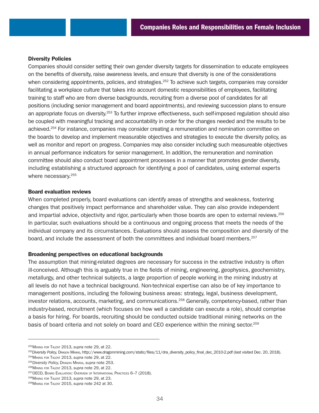#### Diversity Policies

Companies should consider setting their own gender diversity targets for dissemination to educate employees on the benefits of diversity, raise awareness levels, and ensure that diversity is one of the considerations when considering appointments, policies, and strategies.<sup>252</sup> To achieve such targets, companies may consider facilitating a workplace culture that takes into account domestic responsibilities of employees, facilitating training to staff who are from diverse backgrounds, recruiting from a diverse pool of candidates for all positions (including senior management and board appointments), and reviewing succession plans to ensure an appropriate focus on diversity.<sup>253</sup> To further improve effectiveness, such self-imposed regulation should also be coupled with meaningful tracking and accountability in order for the changes needed and the results to be achieved.254 For instance, companies may consider creating a remuneration and nomination committee on the boards to develop and implement measurable objectives and strategies to execute the diversity policy, as well as monitor and report on progress. Companies may also consider including such measureable objectives in annual performance indicators for senior management. In addition, the remuneration and nomination committee should also conduct board appointment processes in a manner that promotes gender diversity, including establishing a structured approach for identifying a pool of candidates, using external experts where necessary.<sup>255</sup>

#### Board evaluation reviews

When completed properly, board evaluations can identify areas of strengths and weakness, fostering changes that positively impact performance and shareholder value. They can also provide independent and impartial advice, objectivity and rigor, particularly when those boards are open to external reviews.<sup>256</sup> In particular, such evaluations should be a continuous and ongoing process that meets the needs of the individual company and its circumstances. Evaluations should assess the composition and diversity of the board, and include the assessment of both the committees and individual board members.257

#### Broadening perspectives on educational backgrounds

The assumption that mining-related degrees are necessary for success in the extractive industry is often ill-conceived. Although this is arguably true in the fields of mining, engineering, geophysics, geochemistry, metallurgy, and other technical subjects, a large proportion of people working in the mining industry at all levels do not have a technical background. Non-technical expertise can also be of key importance to management positions, including the following business areas: strategy, legal, business development, investor relations, accounts, marketing, and communications.<sup>258</sup> Generally, competency-based, rather than industry-based, recruitment (which focuses on how well a candidate can execute a role), should comprise a basis for hiring. For boards, recruiting should be conducted outside traditional mining networks on the basis of board criteria and not solely on board and CEO experience within the mining sector.259

<sup>252</sup>Mining for Talent 2013, *supra* note 29, at 22.

<sup>253</sup>*Diversity Policy,* Dragon Mining, [http://www.dragonmining.com/static/files/11/dra\\_diversity\\_policy\\_final\\_dec\\_2010-2.pdf](http://www.dragonmining.com/static/files/11/dra_diversity_policy_final_dec_2010-2.pdf) (last visited Dec. 20, 2018).

<sup>254</sup>Mining for Talent 2013, *supra* note 29, at 22.

<sup>255</sup>*Diversity Policy,* Dragon Mining, *supra* note 253.

<sup>256</sup>Mining for Talent 2013, *supra* note 29, at 22.

<sup>257</sup>OECD, Board Evaluation: Overview of International Practices 6–7 (2018).

<sup>258</sup>Mining for Talent 2013, *supra* note 29, at 23.

<sup>259</sup>Mining for Talent 2015, *supra* note 242 at 30.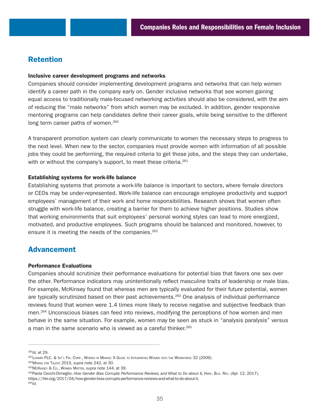# Retention

#### Inclusive career development programs and networks

Companies should consider implementing development programs and networks that can help women identify a career path in the company early on. Gender inclusive networks that see women gaining equal access to traditionally male-focused networking activities should also be considered, with the aim of reducing the "male networks" from which women may be excluded. In addition, gender responsive mentoring programs can help candidates define their career goals, while being sensitive to the different long term career paths of women.<sup>260</sup>

A transparent promotion system can clearly communicate to women the necessary steps to progress to the next level. When new to the sector, companies must provide women with information of all possible jobs they could be performing, the required criteria to get those jobs, and the steps they can undertake, with or without the company's support, to meet these criteria.<sup>261</sup>

## Establishing systems for work-life balance

Establishing systems that promote a work-life balance is important to sectors, where female directors or CEOs may be under-represented. Work-life balance can encourage employee productivity and support employees' management of their work and home responsibilities. Research shows that women often struggle with work-life balance, creating a barrier for them to achieve higher positions. Studies show that working environments that suit employees' personal working styles can lead to more energized, motivated, and productive employees. Such programs should be balanced and monitored, however, to ensure it is meeting the needs of the companies.<sup>262</sup>

## Advancement

## Performance Evaluations

Companies should scrutinize their performance evaluations for potential bias that favors one sex over the other. Performance indicators may unintentionally reflect masculine traits of leadership or male bias. For example, McKinsey found that whereas men are typically evaluated for their future potential, women are typically scrutinized based on their past achievements.<sup>263</sup> One analysis of individual performance reviews found that women were 1.4 times more likely to receive negative and subjective feedback than men.<sup>264</sup> Unconscious biases can feed into reviews, modifying the perceptions of how women and men behave in the same situation. For example, women may be seen as stuck in "analysis paralysis" versus a man in the same scenario who is viewed as a careful thinker.<sup>265</sup>

<sup>260</sup>*Id.* at 29.

<sup>261</sup>Lonmin PLC. & Int'l Fin. Corp., Women in Mining: A Guide to Integrating Women into the Workforce 32 (2009).

<sup>262</sup>Mining for Talent 2015, *supra* note 242, at 30.

<sup>&</sup>lt;sup>263</sup> McKinsey & Co., Women Matter, *supra* note 144, at 39.<br><sup>264</sup>Paola Cecchi-Dimeglio, *How Gender Bias Corrupts Performance Reviews, and What to Do about It, Harv. Bus. Rev. (Арг. 12, 2017),* <https://hbr.org/2017/04/how-gender-bias-corrupts-performance-reviews-and-what-to-do-about-it>. 265*Id*.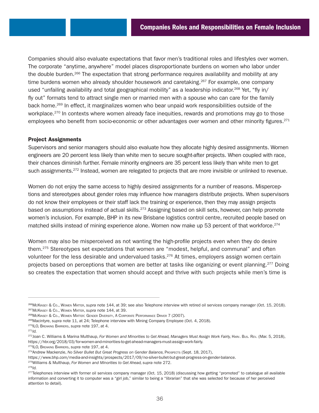Companies should also evaluate expectations that favor men's traditional roles and lifestyles over women. The corporate "anytime, anywhere" model places disproportionate burdens on women who labor under the double burden.266 The expectation that strong performance requires availability and mobility at any time burdens women who already shoulder housework and caretaking.<sup>267</sup> For example, one company used "unfailing availability and total geographical mobility" as a leadership indicator.<sup>268</sup> Yet, "fly in/ fly out" formats tend to attract single men or married men with a spouse who can care for the family back home.269 In effect, it marginalizes women who bear unpaid work responsibilities outside of the workplace.<sup>270</sup> In contexts where women already face inequities, rewards and promotions may go to those employees who benefit from socio-economic or other advantages over women and other minority figures.<sup>271</sup>

## Project Assignments

Supervisors and senior managers should also evaluate how they allocate highly desired assignments. Women engineers are 20 percent less likely than white men to secure sought-after projects. When coupled with race, their chances diminish further. Female minority engineers are 35 percent less likely than white men to get such assignments.<sup>272</sup> Instead, women are relegated to projects that are more invisible or unlinked to revenue.

Women do not enjoy the same access to highly desired assignments for a number of reasons. Misperceptions and stereotypes about gender roles may influence how managers distribute projects. When supervisors do not know their employees or their staff lack the training or experience, then they may assign projects based on assumptions instead of actual skills.<sup>273</sup> Assigning based on skill sets, however, can help promote women's inclusion. For example, BHP in its new Brisbane logistics control centre, recruited people based on matched skills instead of mining experience alone. Women now make up 53 percent of that workforce.<sup>274</sup>

Women may also be misperceived as not wanting the high-profile projects even when they do desire them.275 Stereotypes set expectations that women are "modest, helpful, and communal" and often volunteer for the less desirable and undervalued tasks.<sup>276</sup> At times, employers assign women certain projects based on perceptions that women are better at tasks like organizing or event planning.<sup>277</sup> Doing so creates the expectation that women should accept and thrive with such projects while men's time is

<sup>276</sup>*Id.*

<sup>&</sup>lt;sup>266</sup>McKinsey & Co., Woмем Marтеr, su*pra* note 144, at 39; see also Telephone interview with retired oil services company manager (Oct. 15, 2018).<br><sup>267</sup>McKinsey & Co., Woмем Marтеr, su*pra* note 144, at 39.<br><sup>268</sup>McKinsey

<sup>269</sup>Macintyre, *supra* note 11, at 24; Telephone interview with Mining Company Employee (Oct. 4, 2018). 270ILO, Breaking Barriers, *supra* note 197, at 4.

<sup>271</sup>*Id.*

<sup>272</sup>Joan C. Williams & Marina Multhaup, *For Women and Minorities to Get Ahead, Managers Must Assign Work Fairly,* Harv. Bus. Rev. (Mar. 5, 2018), [https://hbr.org/2018/03/for-women-and-minorities-to-get-ahead-managers-must-assign-work-fairly.](https://hbr.org/2018/03/for-women-and-minorities-to-get-ahead-managers-must-assign-work-fairly)<br><sup>273</sup>ILO, Breaking Barriers, supra note 197, at 4.<br><sup>274</sup>Andrew Mackenzie, No Silver Bullet But Great Progress on Gender Balanc

[https://www.bhp.com/media-and-insights/prospects/2017/09/no-silver-bullet-but-great-progress-on-gender-balance.](https://www.bhp.com/media-and-insights/prospects/2017/09/no-silver-bullet-but-great-progress-on-gender-balance)

<sup>275</sup>Williams & Multhaup, *For Women and Minorities to Get Ahead, supra* note 272.

<sup>&</sup>lt;sup>277</sup>Telephones interview with former oil services company manager (Oct. 15, 2018) (discussing how getting "promoted" to catalogue all available information and converting it to computer was a "girl job," similar to being a "librarian" that she was selected for because of her perceived attention to detail).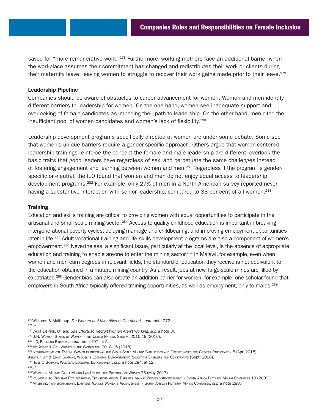saved for "more remunerative work."<sup>278</sup> Furthermore, working mothers face an additional barrier when the workplace assumes their commitment has changed and redistributes their work or clients during their maternity leave, leaving women to struggle to recover their work gains made prior to their leave.<sup>279</sup>

## Leadership Pipeline

Companies should be aware of obstacles to career advancement for women. Women and men identify different barriers to leadership for women. On the one hand, women see inadequate support and overlooking of female candidates as impeding their path to leadership. On the other hand, men cited the insufficient pool of women candidates and women's lack of flexibility.<sup>280</sup>

Leadership development programs specifically directed at women are under some debate. Some see that women's unique barriers require a gender-specific approach. Others argue that women-centered leadership trainings reinforce the concept the female and male leadership are different, overlook the basic traits that good leaders have regardless of sex, and perpetuate the same challenges instead of fostering engagement and learning between women and men.<sup>281</sup> Regardless if the program is genderspecific or -neutral, the ILO found that women and men do not enjoy equal access to leadership development programs.282 For example, only 27% of men in a North American survey reported never having a substantive interaction with senior leadership, compared to 33 per cent of all women.<sup>283</sup>

#### **Training**

Education and skills training are critical to providing women with equal opportunities to participate in the artisanal and small-scale mining sector.<sup>284</sup> Access to quality childhood education is important in breaking intergenerational poverty cycles, delaying marriage and childbearing, and improving employment opportunities later in life.285 Adult vocational training and life skills development programs are also a component of women's empowerment.286 Nevertheless, a significant issue, particularly at the local level, is the absence of appropriate education and training to enable anyone to enter the mining sector.<sup>287</sup> In Malawi, for example, even when women and men earn degrees in relevant fields, the standard of education they receive is not equivalent to the education obtained in a mature mining country. As a result, jobs at new, large-scale mines are filled by expatriates.288 Gender bias can also create an addition barrier for women; for example, one scholar found that employers in South Africa typically offered training opportunities, as well as employment, only to males.289

<sup>278</sup>Williams & Multhaup, *For Women and Minorities to Get Ahead, supra* note 272. <sup>279</sup>*Id.*

<sup>&</sup>lt;sup>280</sup>Lydia DePilis, *Oil and Gas Efforts to Recruit Women Aren't Working, supra note 30.*<br><sup>281</sup>U.N. Women, Status of Women in the United Nations System, 2016 19 (2016).<br><sup>282</sup>ILO, Breaking Barriers, *supra note 197*, at 5.<br>

<sup>284</sup>Intergovernmental Forum, Women in Artisanal and Small-Scale Mining: Challenges and Opportunities for Greater Participation 5 (Apr. 2018); Abigail Hunt & Emma Samman, Women's Economic Empowerment: Navigating Enablers and Constraints (Sept. 2016).

<sup>285</sup>Hunt & Samman, Women's Economic Empowerment, *supra* note 284, at 12.

<sup>286</sup>*Id.*

<sup>287</sup> WOMEN IN MINING: CAN A MINING LAW UNLOCK THE POTENTIAL OF WOMEN 35 (May 2017).

<sup>288</sup>*Id. See also* Busisiwe Rita Mashiane, Transformational Barriers against Women's Advancement in South Africa Platinum Mining Companies 19 (2009).

<sup>289</sup>Mashiane, Transformational Barriers Against Women's Advancement In South African Platinum Mining Companies, *supra* note 288.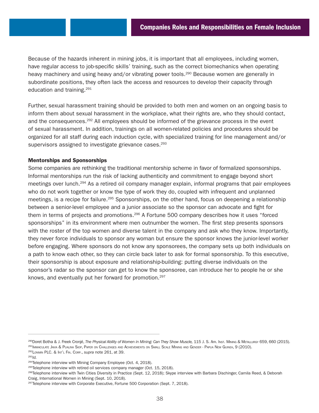Because of the hazards inherent in mining jobs, it is important that all employees, including women, have regular access to job-specific skills' training, such as the correct biomechanics when operating heavy machinery and using heavy and/or vibrating power tools.<sup>290</sup> Because women are generally in subordinate positions, they often lack the access and resources to develop their capacity through education and training.291

Further, sexual harassment training should be provided to both men and women on an ongoing basis to inform them about sexual harassment in the workplace, what their rights are, who they should contact, and the consequences.<sup>292</sup> All employees should be informed of the grievance process in the event of sexual harassment. In addition, trainings on all women-related policies and procedures should be organized for all staff during each induction cycle, with specialized training for line management and/or supervisors assigned to investigate grievance cases.<sup>293</sup>

## Mentorships and Sponsorships

Some companies are rethinking the traditional mentorship scheme in favor of formalized sponsorships. Informal mentorships run the risk of lacking authenticity and commitment to engage beyond short meetings over lunch.294 As a retired oil company manager explain, informal programs that pair employees who do not work together or know the type of work they do, coupled with infrequent and unplanned meetings, is a recipe for failure.295 Sponsorships, on the other hand, focus on deepening a relationship between a senior-level employee and a junior associate so the sponsor can advocate and fight for them in terms of projects and promotions.<sup>296</sup> A Fortune 500 company describes how it uses "forced sponsorships" in its environment where men outnumber the women. The first step presents sponsors with the roster of the top women and diverse talent in the company and ask who they know. Importantly, they never force individuals to sponsor any woman but ensure the sponsor knows the junior-level worker before engaging. Where sponsors do not know any sponsorees, the company sets up both individuals on a path to know each other, so they can circle back later to ask for formal sponsorship. To this executive, their sponsorship is about exposure and relationship-building: putting diverse individuals on the sponsor's radar so the sponsor can get to know the sponsoree, can introduce her to people he or she knows, and eventually put her forward for promotion.<sup>297</sup>

<sup>290</sup>Doret Botha & J. Freek Cronjé, *The Physical Ability of Women in Mining: Can They Show Muscle,* 115 J. S. Arr. Inst. MINING & METALLURGY 659, 660 (2015). <sup>291</sup>Immaculate Javia & Pualina Siop, Paper on Challenges and Achievements on Small Scale Mining and Gender - Papua New Guinea, 9 (2010). <sup>292</sup>Lonmin PLC. & Int'l Fin. Corp., *supra* note 261, at 39.

<sup>293</sup>*Id.*

<sup>&</sup>lt;sup>294</sup>Telephone interview with Mining Company Employee (Oct. 4, 2018).

 $295$ Telephone interview with retired oil services company manager (Oct. 15, 2018).

<sup>296</sup>Telephone interview with Twin Cities Diversity in Practice (Sept. 12, 2018); Skype interview with Barbara Dischinger, Camila Reed, & Deborah Craig, International Women in Mining (Sept. 10, 2018).

<sup>&</sup>lt;sup>297</sup>Telephone interview with Corporate Executive, Fortune 500 Corporation (Sept. 7, 2018).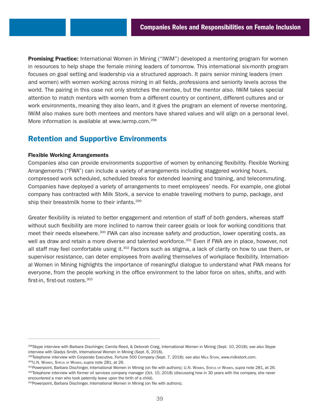**Promising Practice:** International Women in Mining ("IWiM") developed a mentoring program for women in resources to help shape the female mining leaders of tomorrow. This international six-month program focuses on goal setting and leadership via a structured approach. It pairs senior mining leaders (men and women) with women working across mining in all fields, professions and seniority levels across the world. The pairing in this case not only stretches the mentee, but the mentor also. IWiM takes special attention to match mentors with women from a different country or continent, different cultures and or work environments, meaning they also learn, and it gives the program an element of reverse mentoring. IWiM also makes sure both mentees and mentors have shared values and will align on a personal level. More information is available at [www.iwrmp.com.](http://www.iwrmp.com)<sup>298</sup>

# Retention and Supportive Environments

## Flexible Working Arrangements

Companies also can provide environments supportive of women by enhancing flexibility. Flexible Working Arrangements ("FWA") can include a variety of arrangements including staggered working hours, compressed work scheduled, scheduled breaks for extended learning and training, and telecommuting. Companies have deployed a variety of arrangements to meet employees' needs. For example, one global company has contracted with Milk Stork, a service to enable traveling mothers to pump, package, and ship their breastmilk home to their infants.<sup>299</sup>

Greater flexibility is related to better engagement and retention of staff of both genders, whereas staff without such flexibility are more inclined to narrow their career goals or look for working conditions that meet their needs elsewhere.<sup>300</sup> FWA can also increase safety and production, lower operating costs, as well as draw and retain a more diverse and talented workforce.<sup>301</sup> Even if FWA are in place, however, not all staff may feel comfortable using it.<sup>302</sup> Factors such as stigma, a lack of clarity on how to use them, or supervisor resistance, can deter employees from availing themselves of workplace flexibility. International Women in Mining highlights the importance of meaningful dialogue to understand what FWA means for everyone, from the people working in the office environment to the labor force on sites, shifts, and with first-in, first-out rosters.303

<sup>298</sup>Skype interview with Barbara Dischinger, Camila Reed, & Deborah Craig, International Women in Mining (Sept. 10, 2018); *see also* Skype interview with Gladys Smith, International Women in Mining (Sept. 6, 2018).

<sup>&</sup>lt;sup>299</sup>Telephone interview with Corporate Executive, Fortune 500 Company (Sept. 7, 2018); see also MILK STORK, [www.milkstork.com](http://www.milkstork.com).<br><sup>300</sup>U.N. Women, STATUS of Women, s*upra* note 281, at 26.<br><sup>301</sup>Powerpoint, Barbara Dischinger

<sup>302</sup>Telephone interview with former oil services company manager (Oct. 15, 2018) (discussing how in 30 years with the company, she never encountered a man who took paternity leave upon the birth of a child).

<sup>303</sup> Powerpoint, Barbara Dischinger, International Women in Mining (on file with authors).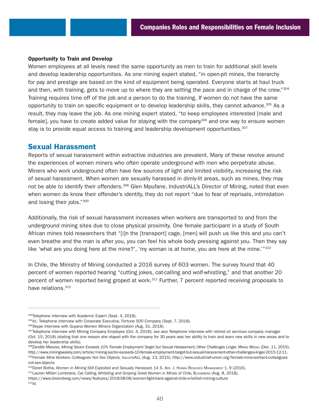## Opportunity to Train and Develop

Women employees at all levels need the same opportunity as men to train for additional skill levels and develop leadership opportunities. As one mining expert stated, "in open-pit mines, the hierarchy for pay and prestige are based on the kind of equipment being operated. Everyone starts at haul truck and then, with training, gets to move up to where they are setting the pace and in charge of the crew."304 Training requires time off of the job and a person to do the training. If women do not have the same opportunity to train on specific equipment or to develop leadership skills, they cannot advance.305 As a result, they may leave the job. As one mining expert stated, "to keep employees interested [male and female], you have to create added value for staying with the company<sup>306</sup> and one way to ensure women stay is to provide equal access to training and leadership development opportunities.<sup>307</sup>

## Sexual Harassment

Reports of sexual harassment within extractive industries are prevalent. Many of these revolve around the experiences of women miners who often operate underground with men who perpetrate abuse. Miners who work underground often have few sources of light and limited visibility, increasing the risk of sexual harassment. When women are sexually harassed in dimly-lit areas, such as mines, they may not be able to identify their offenders.<sup>308</sup> Glen Mpufane, IndustriALL's Director of Mining, noted that even when women do know their offender's identity, they do not report "due to fear of reprisals, intimidation and losing their jobs."309

Additionally, the risk of sexual harassment increases when workers are transported to and from the underground mining sites due to close physical proximity. One female participant in a study of South African mines told researchers that "[i]n the [transport] cage, [men] will push us like this and you can't even breathe and the man is after you, you can feel his whole body pressing against you. Then they say like 'what are you doing here at the mine?', 'my woman is at home, you are here at the mine.'"310

In Chile, the Ministry of Mining conducted a 2016 survey of 603 women. The survey found that 40 percent of women reported hearing "cutting jokes, cat-calling and wolf-whistling," and that another 20 percent of women reported being groped at work.<sup>311</sup> Further, 7 percent reported receiving proposals to have relations.<sup>312</sup>

<sup>304</sup>Telephone interview with Academic Expert (Sept. 4, 2018).

<sup>305/</sup>d.; Telephone interview with Corporate Executive, Fortune 500 Company (Sept. 7, 2018).

<sup>306</sup>Skype interview with Guyana Women Miners Organization (Aug. 31, 2018).

<sup>307</sup>Telephone interview with Mining Company Employee (Oct. 4, 2018); *see also* Telephone interview with retired oil services company manager (Oct. 15, 2018) (stating that one reason she stayed with the company for 30 years was her ability to train and learn new skills in new areas and to develop her leadership skills).

<sup>308</sup>Zandile Mavuso, Mining Sector Exceeds 10% Female Employment Target but Sexual Harassment, Other Challenges Linger, Mining WEEKLY (Dec. 11, 2015), [http://www.miningweekly.com/article/mining-sector-exceeds-10-female-employment-target-but-sexual-harassment-other-challenges-linger-2015-12-11.](http://www.miningweekly.com/article/mining-sector-exceeds-10-female-employment-target-but-sexual-harassment-other-challenges-linger-2015-12-11)

<sup>309</sup>*Female Mine Workers–Colleagues Not Sex Objects,* IndustriALL (Aug. 13, 2015), [http://www.industriall-union.org/female-mine-workers-colleagues](http://www.industriall-union.org/female-mine-workers-colleagues-not-sex-objects)[not-sex-objects](http://www.industriall-union.org/female-mine-workers-colleagues-not-sex-objects)

<sup>310</sup>Doret Botha, Women in Mining Still Exploited and Sexually Harassed, 14 S. AFR. J. HumAN RESOURCE MANAGEMENT 1, 9 (2016).

<sup>311</sup>Lauren Millan Lombrana, *Cat Calling*, Whistling and Groping Greet Women in Mines of Chile, BLOOMBERG (Aug. 8, 2018), <https://www.bloomberg.com/news/features/2018-08-08/women-fight-back-against-chile-s-hellish-mining-culture>

<sup>312</sup>*Id.*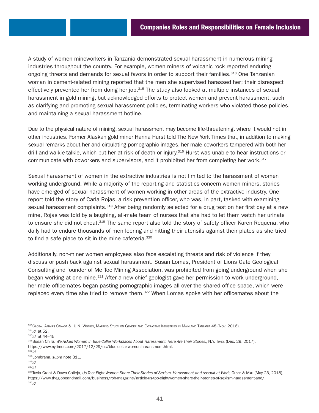A study of women mineworkers in Tanzania demonstrated sexual harassment in numerous mining industries throughout the country. For example, women miners of volcanic rock reported enduring ongoing threats and demands for sexual favors in order to support their families.<sup>313</sup> One Tanzanian woman in cement-related mining reported that the men she supervised harassed her; their disrespect effectively prevented her from doing her job.315 The study also looked at multiple instances of sexual harassment in gold mining, but acknowledged efforts to protect women and prevent harassment, such as clarifying and promoting sexual harassment policies, terminating workers who violated those policies, and maintaining a sexual harassment hotline.

Due to the physical nature of mining, sexual harassment may become life-threatening, where it would not in other industries. Former Alaskan gold miner Hanna Hurst told The New York Times that, in addition to making sexual remarks about her and circulating pornographic images, her male coworkers tampered with both her drill and walkie-talkie, which put her at risk of death or injury.<sup>316</sup> Hurst was unable to hear instructions or communicate with coworkers and supervisors, and it prohibited her from completing her work.<sup>317</sup>

Sexual harassment of women in the extractive industries is not limited to the harassment of women working underground. While a majority of the reporting and statistics concern women miners, stories have emerged of sexual harassment of women working in other areas of the extractive industry. One report told the story of Carla Rojas, a risk prevention officer, who was, in part, tasked with examining sexual harassment complaints.<sup>318</sup> After being randomly selected for a drug test on her first day at a new mine, Rojas was told by a laughing, all-male team of nurses that she had to let them watch her urinate to ensure she did not cheat.<sup>319</sup> The same report also told the story of safety officer Karen Requena, who daily had to endure thousands of men leering and hitting their utensils against their plates as she tried to find a safe place to sit in the mine cafeteria.<sup>320</sup>

Additionally, non-miner women employees also face escalating threats and risk of violence if they discuss or push back against sexual harassment. Susan Lomas, President of Lions Gate Geological Consulting and founder of Me Too Mining Association, was prohibited from going underground when she began working at one mine.321 After a new chief geologist gave her permission to work underground, her male officemates began pasting pornographic images all over the shared office space, which were replaced every time she tried to remove them.<sup>322</sup> When Lomas spoke with her officemates about the

<sup>315</sup>*Id.* at 44–45

<sup>313</sup>Global Affairs Canada & U.N. Women, Mapping Study on Gender and Extractive Industries in Mainland Tanzania 48 (Nov. 2016). <sup>314</sup>*Id.* at 52.

<sup>316</sup>Susan Chira, We Asked Women in Blue-Collar Workplaces About Harassment. Here Are Their Stories., N.Y. TIMES (Dec. 29, 2017), [https://www.nytimes.com/2017/12/29/us/blue-collar-women-harassment.html.](https://www.nytimes.com/2017/12/29/us/blue-collar-women-harassment.html)

<sup>317</sup>*Id.*

<sup>318</sup>Lombrana, *supra* note 311.

<sup>319</sup>*Id.*

<sup>320</sup>*Id.*

<sup>321</sup>Tavia Grant & Dawn Calleja, Us Too: Eight Women Share Their Stories of Sexism, Harassment and Assault at Work, GLOBE & MAIL (May 23, 2018), [https://www.theglobeandmail.com/business/rob-magazine/article-us-too-eight-women-share-their-stories-of-sexism-harassment-and/.](https://www.theglobeandmail.com/business/rob-magazine/article-us-too-eight-women-share-their-stories-of-sexism-harassment-and/) <sup>322</sup>*Id.*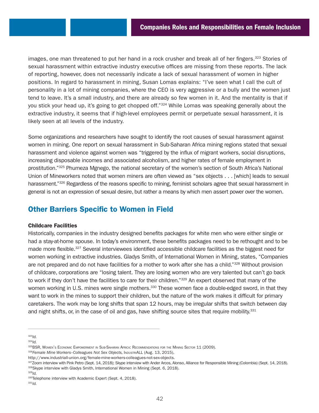images, one man threatened to put her hand in a rock crusher and break all of her fingers.<sup>323</sup> Stories of sexual harassment within extractive industry executive offices are missing from these reports. The lack of reporting, however, does not necessarily indicate a lack of sexual harassment of women in higher positions. In regard to harassment in mining, Susan Lomas explains: "I've seen what I call the cult of personality in a lot of mining companies, where the CEO is very aggressive or a bully and the women just tend to leave. It's a small industry, and there are already so few women in it. And the mentality is that if you stick your head up, it's going to get chopped off."324 While Lomas was speaking generally about the extractive industry, it seems that if high-level employees permit or perpetuate sexual harassment, it is likely seen at all levels of the industry.

Some organizations and researchers have sought to identify the root causes of sexual harassment against women in mining. One report on sexual harassment in Sub-Saharan Africa mining regions stated that sexual harassment and violence against women was "triggered by the influx of migrant workers, social disruptions, increasing disposable incomes and associated alcoholism, and higher rates of female employment in prostitution."325 Phumeza Mgnego, the national secretary of the women's section of South Africa's National Union of Mineworkers noted that women miners are often viewed as "sex objects . . . [which] leads to sexual harassment."<sup>326</sup> Regardless of the reasons specific to mining, feminist scholars agree that sexual harassment in general is not an expression of sexual desire, but rather a means by which men assert power over the women.

# Other Barriers Specific to Women in Field

## Childcare Facilities

Historically, companies in the industry designed benefits packages for white men who were either single or had a stay-at-home spouse. In today's environment, these benefits packages need to be rethought and to be made more flexible.327 Several interviewees identified accessible childcare facilities as the biggest need for women working in extractive industries. Gladys Smith, of International Women in Mining, states, "Companies are not prepared and do not have facilities for a mother to work after she has a child."328 Without provision of childcare, corporations are "losing talent. They are losing women who are very talented but can't go back to work if they don't have the facilities to care for their children."<sup>329</sup> An expert observed that many of the women working in U.S. mines were single mothers.<sup>330</sup> These women face a double-edged sword, in that they want to work in the mines to support their children, but the nature of the work makes it difficult for primary caretakers. The work may be long shifts that span 12 hours, may be irregular shifts that switch between day and night shifts, or, in the case of oil and gas, have shifting source sites that require mobility.<sup>331</sup>

<sup>323</sup>*Id.*

326 Female Mine Workers-Colleagues Not Sex Objects, INDUSTRIALL (Aug. 13, 2015),

<sup>324</sup>*Id.*

<sup>325</sup>BSR, WOMEN'S ECONOMIC EMPOWERMENT IN SUB-SAHARAN AFRICA: RECOMMENDATIONS FOR THE MINING SECTOR 11 (2009).

[http://www.industriall-union.org/female-mine-workers-colleagues-not-sex-objects.](http://www.industriall-union.org/female-mine-workers-colleagues-not-sex-objects)

<sup>327</sup>Zoom interview with Pink Petro (Sept. 14, 2018); Skype interview with Ander Arcos, Alonso, Alliance for Responsible Mining (Colombia) (Sept. 14, 2018). <sup>328</sup>Skype interview with Gladys Smith, International Women in Mining (Sept. 6, 2018).<br><sup>329</sup>Id.

<sup>&</sup>lt;sup>330</sup>Telephone interview with Academic Expert (Sept. 4, 2018).<br><sup>331</sup>Id.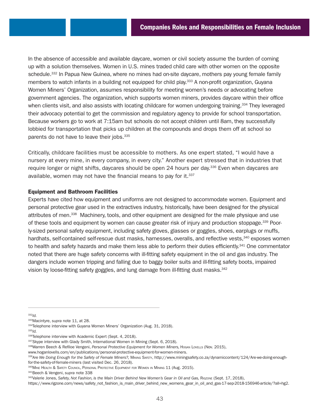In the absence of accessible and available daycare, women or civil society assume the burden of coming up with a solution themselves. Women in U.S. mines traded child care with other women on the opposite schedule.<sup>332</sup> In Papua New Guinea, where no mines had on-site daycare, mothers pay young female family members to watch infants in a building not equipped for child play.<sup>333</sup> A non-profit organization, Guyana Women Miners' Organization, assumes responsibility for meeting women's needs or advocating before government agencies. The organization, which supports women miners, provides daycare within their office when clients visit, and also assists with locating childcare for women undergoing training.<sup>334</sup> They leveraged their advocacy potential to get the commission and regulatory agency to provide for school transportation. Because workers go to work at 7:15am but schools do not accept children until 8am, they successfully lobbied for transportation that picks up children at the compounds and drops them off at school so parents do not have to leave their jobs.<sup>335</sup>

Critically, childcare facilities must be accessible to mothers. As one expert stated, "I would have a nursery at every mine, in every company, in every city." Another expert stressed that in industries that require longer or night shifts, daycares should be open 24 hours per day.<sup>336</sup> Even when daycares are available, women may not have the financial means to pay for it.<sup>337</sup>

## Equipment and Bathroom Facilities

Experts have cited how equipment and uniforms are not designed to accommodate women. Equipment and personal protective gear used in the extractives industry, historically, have been designed for the physical attributes of men.<sup>338</sup> Machinery, tools, and other equipment are designed for the male physique and use of these tools and equipment by women can cause greater risk of injury and production stoppage.<sup>339</sup> Poorly-sized personal safety equipment, including safety gloves, glasses or goggles, shoes, earplugs or muffs, hardhats, self-contained self-rescue dust masks, harnesses, overalls, and reflective vests,<sup>340</sup> exposes women to health and safety hazards and make them less able to perform their duties efficiently.<sup>341</sup> One commentator noted that there are huge safety concerns with ill-fitting safety equipment in the oil and gas industry. The dangers include women tripping and falling due to baggy boiler suits and ill-fitting safety boots, impaired vision by loose-fitting safety goggles, and lung damage from ill-fitting dust masks.<sup>342</sup>

341Beech & Vengeni, *supra* note 338

<sup>&</sup>lt;sup>332</sup>*ld.*<br><sup>333</sup>Macintyre, supra note 11, at 28.

<sup>&</sup>lt;sup>334</sup>Telephone interview with Guyana Women Miners' Organization (Aug. 31, 2018).<br><sup>335</sup>*Id.* 336*Id.* 336*Id.* 336*Id.* 336*Id.* 336*Id.* 336*Id.* 336*Id.* 336*Id.* 336*Id.* 336*Id.* 336*Id.* 336*Id.* 336*Id.* 336*Id.* 336

<sup>337</sup>Skype interview with Glady Smith, International Women in Mining (Sept. 6, 2018).<br><sup>338</sup>Warren Beech & Refiloe Vengeni, Personal Protective Equipment for Women Miners, Hogan Lovells (Nov. 2015),

[www.hoganlovells.com/en/publications/personal-protective-equipment-for-women-miners](http://www.hoganlovells.com/en/publications/personal-protective-equipment-for-women-miners).

<sup>339</sup> Are We Doing Enough for the Safety of Female Miners?, MINING SAFETY, [http://www.miningsafety.co.za/dynamiccontent/124/Are-we-doing-enough](http://www.miningsafety.co.za/dynamiccontent/124/Are-we-doing-enough-for-the-safety-of-female-miners)[for-the-safety-of-female-miners](http://www.miningsafety.co.za/dynamiccontent/124/Are-we-doing-enough-for-the-safety-of-female-miners) (last visited Dec. 26, 2018).

<sup>340</sup> MINE HEALTH & SAFETY COUNCIL, PERSONAL PROTECTIVE EQUIPMENT FOR WOMEN IN MINING 11 (Aug. 2015).

<sup>342</sup>Valerie Jones, Safety, Not Fashion, is the Main Driver Behind New Women's Gear in Oil and Gas, RIGZONE (Sept. 17, 2018),

[https://www.rigzone.com/news/safety\\_not\\_fashion\\_is\\_main\\_driver\\_behind\\_new\\_womens\\_gear\\_in\\_oil\\_and\\_gas-17-sep-2018-156946-article/?all=hg2](https://www.rigzone.com/news/safety_not_fashion_is_main_driver_behind_new_womens_gear_in_oil_and_gas-17-sep-2018-156946-article/?all=hg2).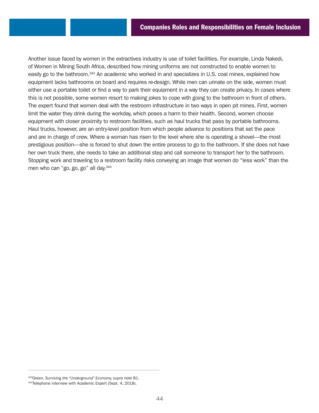Another issue faced by women in the extractives industry is use of toilet facilities. For example, Linda Nakedi, of Women in Mining South Africa, described how mining uniforms are not constructed to enable women to easily go to the bathroom.343 An academic who worked in and specializes in U.S. coal mines, explained how equipment lacks bathrooms on board and requires re-design. While men can urinate on the side, women must either use a portable toilet or find a way to park their equipment in a way they can create privacy. In cases where this is not possible, some women resort to making jokes to cope with going to the bathroom in front of others. The expert found that women deal with the restroom infrastructure in two ways in open pit mines. First, women limit the water they drink during the workday, which poses a harm to their health. Second, women choose equipment with closer proximity to restroom facilities, such as haul trucks that pass by portable bathrooms. Haul trucks, however, are an entry-level position from which people advance to positions that set the pace and are in charge of crew. Where a woman has risen to the level where she is operating a shovel—the most prestigious position—she is forced to shut down the entire process to go to the bathroom. If she does not have her own truck there, she needs to take an additional step and call someone to transport her to the bathroom. Stopping work and traveling to a restroom facility risks conveying an image that women do "less work" than the men who can "go, go, go" all day.<sup>344</sup>

<sup>343</sup>Green, *Surviving the "Underground" Economy, supra* note 81.

<sup>344</sup>Telephone interview with Academic Expert (Sept. 4, 2018).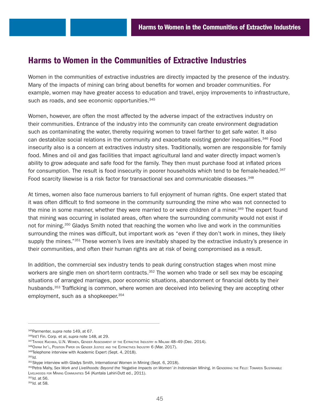# Harms to Women in the Communities of Extractive Industries

Women in the communities of extractive industries are directly impacted by the presence of the industry. Many of the impacts of mining can bring about benefits for women and broader communities. For example, women may have greater access to education and travel, enjoy improvements to infrastructure, such as roads, and see economic opportunities.<sup>345</sup>

Women, however, are often the most affected by the adverse impact of the extractives industry on their communities. Entrance of the industry into the community can create environment degradation such as contaminating the water, thereby requiring women to travel farther to get safe water. It also can destabilize social relations in the community and exacerbate existing gender inequalities.346 Food insecurity also is a concern at extractives industry sites. Traditionally, women are responsible for family food. Mines and oil and gas facilities that impact agricultural land and water directly impact women's ability to grow adequate and safe food for the family. They then must purchase food at inflated prices for consumption. The result is food insecurity in poorer households which tend to be female-headed.<sup>347</sup> Food scarcity likewise is a risk factor for transactional sex and communicable diseases.<sup>348</sup>

At times, women also face numerous barriers to full enjoyment of human rights. One expert stated that it was often difficult to find someone in the community surrounding the mine who was not connected to the mine in some manner, whether they were married to or were children of a miner.<sup>349</sup> The expert found that mining was occurring in isolated areas, often where the surrounding community would not exist if not for mining.<sup>350</sup> Gladys Smith noted that reaching the women who live and work in the communities surrounding the mines was difficult, but important work as "even if they don't work in mines, they likely supply the mines."<sup>351</sup> These women's lives are inevitably shaped by the extractive industry's presence in their communities, and often their human rights are at risk of being compromised as a result.

In addition, the commercial sex industry tends to peak during construction stages when most mine workers are single men on short-term contracts.<sup>352</sup> The women who trade or sell sex may be escaping situations of arranged marriages, poor economic situations, abandonment or financial debts by their husbands.<sup>353</sup> Trafficking is common, where women are deceived into believing they are accepting other employment, such as a shopkeeper. 354

<sup>345</sup>Parmenter, *supra* note 149, at 67. 346Int'l Fin. Corp. et al, *supra* note 148, at 29.

<sup>347</sup>TINYADE KACHIKA, U.N. WOMEN, GENDER ASSESSMENT OF THE EXTRACTIVE INDUSTRY IN MALAWI 48–49 (Dec. 2014).

<sup>348</sup> OXFAM INT'L, POSITION PAPER ON GENDER JUSTICE AND THE EXTRACTIVES INDUSTRY 6 (Mar. 2017).

<sup>349</sup>Telephone interview with Academic Expert (Sept. 4, 2018).

<sup>350</sup>*Id.*

<sup>351</sup>Skype interview with Gladys Smith, International Women in Mining (Sept. 6, 2018).

<sup>352</sup>Petra Mahy, Sex Work and Livelihoods: Beyond the 'Negative Impacts on Women' in Indonesian Mining, in GENDERING THE FIELD: TowARDS SUSTAINABLE LIVELIHOODS FOR MINING COMMUNITIES 54 (Kuntala Lahiri-Dutt ed., 2011).

<sup>353</sup>*Id.* at 56. 354*Id.* at 58.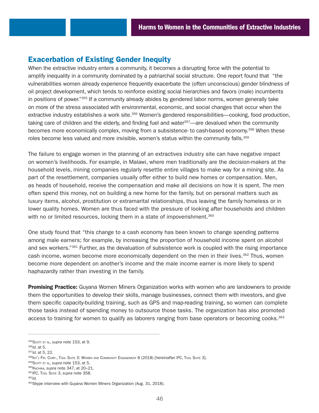# Exacerbation of Existing Gender Inequity

When the extractive industry enters a community, it becomes a disrupting force with the potential to amplify inequality in a community dominated by a patriarchal social structure. One report found that "the vulnerabilities women already experience frequently exacerbate the (often unconscious) gender blindness of oil project development, which tends to reinforce existing social hierarchies and favors (male) incumbents in positions of power."355 If a community already abides by gendered labor norms, women generally take on more of the stress associated with environmental, economic, and social changes that occur when the extractive industry establishes a work site.356 Women's gendered responsibilities—cooking, food production, taking care of children and the elderly, and finding fuel and water $357$ —are devalued when the community becomes more economically complex, moving from a subsistence- to cash-based economy.<sup>358</sup> When these roles become less valued and more invisible, women's status within the community falls.<sup>359</sup>

The failure to engage women in the planning of an extractives industry site can have negative impact on women's livelihoods. For example, in Malawi, where men traditionally are the decision-makers at the household levels, mining companies regularly resettle entire villages to make way for a mining site. As part of the resettlement, companies usually offer either to build new homes or compensation. Men, as heads of household, receive the compensation and make all decisions on how it is spent. The men often spend this money, not on building a new home for the family, but on personal matters such as luxury items, alcohol, prostitution or extramarital relationships, thus leaving the family homeless or in lower quality homes. Women are thus faced with the pressure of looking after households and children with no or limited resources, locking them in a state of impoverishment.<sup>360</sup>

One study found that "this change to a cash economy has been known to change spending patterns among male earners; for example, by increasing the proportion of household income spent on alcohol and sex workers."<sup>361</sup> Further, as the devaluation of subsistence work is coupled with the rising importance cash income, women become more economically dependent on the men in their lives.<sup>362</sup> Thus, women become more dependent on another's income and the male income earner is more likely to spend haphazardly rather than investing in the family.

**Promising Practice:** Guyana Women Miners Organization works with women who are landowners to provide them the opportunities to develop their skills, manage businesses, connect them with investors, and give them specific capacity-building training, such as GPS and map-reading training, so women can complete those tasks instead of spending money to outsource those tasks. The organization has also promoted access to training for women to qualify as laborers ranging from base operators or becoming cooks.<sup>363</sup>

359Scott ET AL, *supra* note 153, at 5.

- <sup>361</sup>IFC, Tool Suite 3, *supra* note 358.
- <sup>362</sup>*Id.*

<sup>355</sup>Scott ET AL, supra note 153, at 9.

<sup>356</sup>*Id.* at 5.

<sup>357</sup>*Id.* at 5, 22.

<sup>358|</sup>NT'L FIN. CORP., TOOL SUITE 3: WOMEN AND COMMUNITY ENGAGEMENT 8 (2018) [hereinafter IFC, Tool SUITE 3].

<sup>360</sup>Kachika, *supra* note 347, at 20–21.

<sup>363</sup> Skype interview with Guyana Women Miners Organization (Aug. 31, 2018).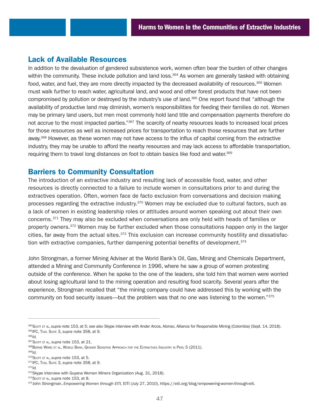## Lack of Available Resources

In addition to the devaluation of gendered subsistence work, women often bear the burden of other changes within the community. These include pollution and land loss.<sup>364</sup> As women are generally tasked with obtaining food, water, and fuel, they are more directly impacted by the decreased availability of resources.<sup>365</sup> Women must walk further to reach water, agricultural land, and wood and other forest products that have not been compromised by pollution or destroyed by the industry's use of land.<sup>366</sup> One report found that "although the availability of productive land may diminish, women's responsibilities for feeding their families do not. Women may be primary land users, but men most commonly hold land title and compensation payments therefore do not accrue to the most impacted parties."367 The scarcity of nearby resources leads to increased local prices for those resources as well as increased prices for transportation to reach those resources that are further away.<sup>368</sup> However, as these women may not have access to the influx of capital coming from the extractive industry, they may be unable to afford the nearby resources and may lack access to affordable transportation, requiring them to travel long distances on foot to obtain basics like food and water.<sup>369</sup>

## Barriers to Community Consultation

The introduction of an extractive industry and resulting lack of accessible food, water, and other resources is directly connected to a failure to include women in consultations prior to and during the extractives operation. Often, women face de facto exclusion from conversations and decision making processes regarding the extractive industry.<sup>370</sup> Women may be excluded due to cultural factors, such as a lack of women in existing leadership roles or attitudes around women speaking out about their own concerns.371 They may also be excluded when conversations are only held with heads of families or property owners.372 Women may be further excluded when those consultations happen only in the larger cities, far away from the actual sites.<sup>373</sup> This exclusion can increase community hostility and dissatisfaction with extractive companies, further dampening potential benefits of development.<sup>374</sup>

John Strongman, a former Mining Adviser at the World Bank's Oil, Gas, Mining and Chemicals Department, attended a Mining and Community Conference in 1996, where he saw a group of women protesting outside of the conference. When he spoke to the one of the leaders, she told him that women were worried about losing agricultural land to the mining operation and resulting food scarcity. Several years after the experience, Strongman recalled that "the mining company could have addressed this by working with the community on food security issues—but the problem was that no one was listening to the women."375

370Scott et al, supra note 153, at 5.

<sup>372</sup>*Id.*

<sup>364</sup>Scott et al, *supra* note 153, at 5; *see also* Skype interview with Ander Arcos, Alonso, Alliance for Responsible Mining (Colombia) (Sept. 14, 2018). <sup>365</sup>IFC, Tool Suite 3, *supra* note 358, at 9.

<sup>366</sup>*Id.*

<sup>367</sup>Scott ET AL, *supra* note 153, at 21.

<sup>368</sup>Bernie Ward et al, World Bank, Gender Sensitive Approach for the Extractives Industry in Peru 5 (2011).

<sup>369</sup>*Id.*

<sup>371</sup>IFC, Tool Suite 3, *supra* note 358, at 9.

<sup>373</sup>Skype interview with Guyana Women Miners Organization (Aug. 31, 2018).

<sup>374</sup>Scott ET AL, *supra* note 153, at 8.

<sup>375</sup>John Strongman, *Empowering Women through EITI,* EITI (July 27, 2010), [https://eiti.org/blog/empowering-women-through-eiti.](https://eiti.org/blog/empowering-women-through-eiti)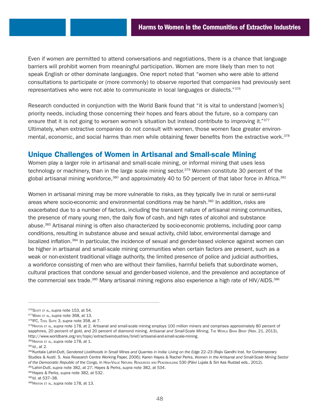Even if women are permitted to attend conversations and negotiations, there is a chance that language barriers will prohibit women from meaningful participation. Women are more likely than men to not speak English or other dominate languages. One report noted that "women who were able to attend consultations to participate or (more commonly) to observe reported that companies had previously sent representatives who were not able to communicate in local languages or dialects."376

Research conducted in conjunction with the World Bank found that "it is vital to understand [women's] priority needs, including those concerning their hopes and fears about the future, so a company can ensure that it is not going to worsen women's situation but instead contribute to improving it."<sup>377</sup> Ultimately, when extractive companies do not consult with women, those women face greater environmental, economic, and social harms than men while obtaining fewer benefits from the extractive work.<sup>378</sup>

# Unique Challenges of Women in Artisanal and Small-scale Mining

Women play a larger role in artisanal and small-scale mining, or informal mining that uses less technology or machinery, than in the large scale mining sector.379 Women constitute 30 percent of the global artisanal mining workforce,<sup>380</sup> and approximately 40 to 50 percent of that labor force in Africa.<sup>381</sup>

Women in artisanal mining may be more vulnerable to risks, as they typically live in rural or semi-rural areas where socio-economic and environmental conditions may be harsh.<sup>382</sup> In addition, risks are exacerbated due to a number of factors, including the transient nature of artisanal mining communities, the presence of many young men, the daily flow of cash, and high rates of alcohol and substance abuse.383 Artisanal mining is often also characterized by socio-economic problems, including poor camp conditions, resulting in substance abuse and sexual activity, child labor, environmental damage and localized inflation.<sup>384</sup> In particular, the incidence of sexual and gender-based violence against women can be higher in artisanal and small-scale mining communities when certain factors are present, such as a weak or non-existent traditional village authority, the limited presence of police and judicial authorities, a workforce consisting of men who are without their families, harmful beliefs that subordinate women, cultural practices that condone sexual and gender-based violence, and the prevalence and acceptance of the commercial sex trade.<sup>385</sup> Many artisanal mining regions also experience a high rate of HIV/AIDS.<sup>386</sup>

384Hayes & Perks, *supra* note 382, at 532.

<sup>385</sup>*Id.* at 537–38.

<sup>376</sup>Scott et al, *supra* note 153, at 54.

<sup>377</sup>Ward et al, *supra* note 368, at 13.

<sup>378</sup>IFC, Tool Suite 3, *supra* note 358, at 7.

<sup>379</sup> HINTON ET AL, *supra* note 178, at 2. Artisanal and small-scale mining employs 100 million miners and comprises approximately 80 percent of sapphires, 20 percent of gold, and 20 percent of diamond mining. Artisanal and Small-Scale Mining, THE WORLD BANK BRIEF (Nov. 21, 2013), [http://www.worldbank.org/en/topic/extractiveindustries/brief/artisanal-and-small-scale-mining.](http://www.worldbank.org/en/topic/extractiveindustries/brief/artisanal-and-small-scale-mining)

<sup>380</sup>Hinton et al, *supra* note 178, at 1.

<sup>381</sup>*Id.*, at 2.

<sup>382</sup>Kuntala Lahiri-Dutt, Gendered Livelihoods in Small Mines and Quarries in India: Living on the Edge 22-23 (Rajiv Gandhi Inst. for Contemporary Studies & Austl. S. Asia Research Centre Working Paper, 2006); Karen Hayes & Rachel Perks, *Women in the Artisanal and Small-Scale Mining Sector of the Democratic Republic of the Congo,* in High-Value Natural Resources and Peacebuilding 530 (Päivi Lujala & Siri Aas Rustad eds., 2012). 383Lahiri-Dutt, *supra* note 382, at 27; Hayes & Perks, *supra* note 382, at 534.

<sup>386</sup>Hinton et al, *supra* note 178, at 13.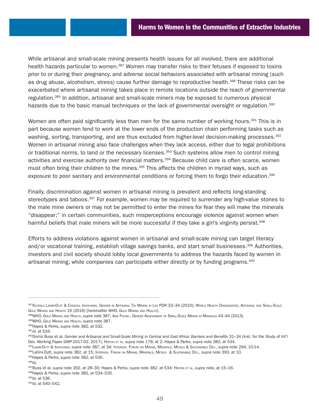While artisanal and small-scale mining presents health issues for all involved, there are additional health hazards particular to women.<sup>387</sup> Women may transfer risks to their fetuses if exposed to toxins prior to or during their pregnancy, and adverse social behaviors associated with artisanal mining (such as drug abuse, alcoholism, stress) cause further damage to reproductive health.<sup>388</sup> These risks can be exacerbated where artisanal mining takes place in remote locations outside the reach of governmental regulation.<sup>389</sup> In addition, artisanal and small-scale miners may be exposed to numerous physical hazards due to the basic manual techniques or the lack of governmental oversight or regulation.<sup>390</sup>

Women are often paid significantly less than men for the same number of working hours.<sup>391</sup> This is in part because women tend to work at the lower ends of the production chain performing tasks such as washing, sorting, transporting, and are thus excluded from higher-level decision-making processes.<sup>392</sup> Women in artisanal mining also face challenges when they lack access, either due to legal prohibitions or traditional norms, to land or the necessary licenses.<sup>393</sup> Such systems allow men to control mining activities and exercise authority over financial matters.<sup>394</sup> Because child care is often scarce, women must often bring their children to the mines.<sup>395</sup> This affects the children in myriad ways, such as exposure to poor sanitary and environmental conditions or forcing them to forgo their education.<sup>396</sup>

Finally, discrimination against women in artisanal mining is prevalent and reflects long-standing stereotypes and taboos.<sup>397</sup> For example, women may be required to surrender any high-value stones to the male mine owners or may not be permitted to enter the mines for fear they will make the minerals "disappear;" in certain communities, such misperceptions encourage violence against women when harmful beliefs that male miners will be more successful if they take a girl's virginity persist.<sup>398</sup>

Efforts to address violations against women in artisanal and small-scale mining can target literacy and/or vocational training, establish village savings banks, and start small businesses.<sup>399</sup> Authorities, investors and civil society should lobby local governments to address the hazards faced by women in artisanal mining, while companies can participate either directly or by funding programs.400

395Hayes & Perks, *supra* note 382, at 535.

<sup>387</sup> Kuntala Lahiri-Dutt & Chasoul Invouvanh, Gender in Artisanal Tin Mining in Lao PDR 33–34 (2010); World Health Organization, Artisanal and Small-Scale GOLD MINING AND HEALTH 16 (2016) [hereinafter WHO, GOLD MINING AND HEALTH].

<sup>388</sup>WHO, Gold Mining and Health, *supra* note 387; Asia Found., Gender Assessment of Small-Scale Mining in Mongolia 43–44 (2013).

<sup>389</sup>WHO, Gold Mining and Health, *supra* note 387.

<sup>390</sup>Hayes & Perks, *supra* note 382, at 532.

<sup>391</sup>*Id.* at 534.

<sup>&</sup>lt;sup>392</sup>Dorris Buss et al, Gender and Artisanal and Small-Scale Mining in Central and East Africa: Barriers and Benefits 31-34 (Inst. for the Study of Int'l Dev. Working Paper GWP-2017-02, 2017); Hinton et al, *supra* note 178, at 2; Hayes & Perks, *supra* note 382, at 534.

<sup>393</sup>Lahiri-Dutt & Invouvanh, *supra* note 387, at 34; Intergov. Forum on Mining, Minerals, Metals & Sustainable Dev., *supra* note 294, 10-14.

<sup>394</sup>Lahini-Dutt, *supra* note 382, at 15; Intergov. Forum on Mining, Minerals, Metals & Sustainable Dev., *supra* note 393, at 10.

<sup>396</sup>*Id.*

<sup>397</sup>Buss et al, *supra* note 392, at 28–30; Hayes & Perks, *supra* note 382, at 534; Hinton et al, *supra* note, at 15–16.

<sup>398</sup>Hayes & Perks, *supra* note 382, at 534–535.

<sup>399</sup>*Id.* at 536.

<sup>400</sup>*Id.* at 540–542.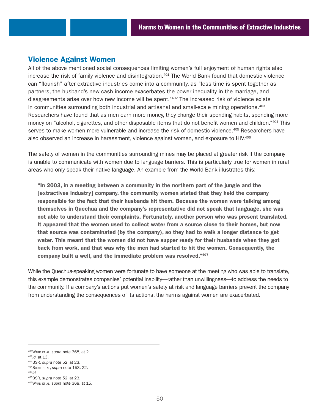## Violence Against Women

All of the above mentioned social consequences limiting women's full enjoyment of human rights also increase the risk of family violence and disintegration.<sup>401</sup> The World Bank found that domestic violence can "flourish" after extractive industries come into a community, as "less time is spent together as partners, the husband's new cash income exacerbates the power inequality in the marriage, and disagreements arise over how new income will be spent."402 The increased risk of violence exists in communities surrounding both industrial and artisanal and small-scale mining operations.<sup>403</sup> Researchers have found that as men earn more money, they change their spending habits, spending more money on "alcohol, cigarettes, and other disposable items that do not benefit women and children."<sup>404</sup> This serves to make women more vulnerable and increase the risk of domestic violence.<sup>405</sup> Researchers have also observed an increase in harassment, violence against women, and exposure to HIV.406

The safety of women in the communities surrounding mines may be placed at greater risk if the company is unable to communicate with women due to language barriers. This is particularly true for women in rural areas who only speak their native language. An example from the World Bank illustrates this:

"In 2003, in a meeting between a community in the northern part of the jungle and the [extractives industry] company, the community women stated that they held the company responsible for the fact that their husbands hit them. Because the women were talking among themselves in Quechua and the company's representative did not speak that language, she was not able to understand their complaints. Fortunately, another person who was present translated. It appeared that the women used to collect water from a source close to their homes, but now that source was contaminated (by the company), so they had to walk a longer distance to get water. This meant that the women did not have supper ready for their husbands when they got back from work, and that was why the men had started to hit the women. Consequently, the company built a well, and the immediate problem was resolved."407

While the Quechua-speaking women were fortunate to have someone at the meeting who was able to translate, this example demonstrates companies' potential inability—rather than unwillingness—to address the needs to the community. If a company's actions put women's safety at risk and language barriers prevent the company from understanding the consequences of its actions, the harms against women are exacerbated.

403BSR, *supra* note 52, at 23.

<sup>405</sup>*Id.*

<sup>401</sup>Ward et al, *supra* note 368, at 2.

<sup>402</sup>*Id.* at 13.

<sup>404</sup>Scott et al, *supra* note 153, 22.

<sup>406</sup>BSR, *supra* note 52, at 23.

<sup>407</sup>Ward et al, *supra* note 368, at 15.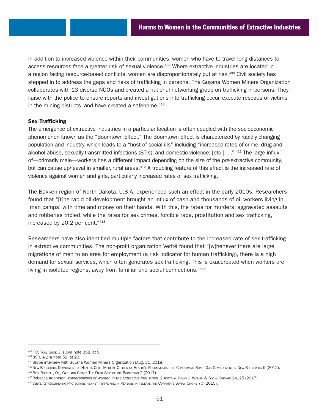In addition to increased violence within their communities, women who have to travel long distances to access resources face a greater risk of sexual violence.408 Where extractive industries are located in a region facing resource-based conflicts, women are disproportionately put at risk.<sup>409</sup> Civil society has stepped in to address the gaps and risks of trafficking in persons. The Guyana Women Miners Organization collaborates with 13 diverse NGOs and created a national networking group on trafficking in persons. They liaise with the police to ensure reports and investigations into trafficking occur, execute rescues of victims in the mining districts, and have created a safehome.<sup>410</sup>

## Sex Trafficking

The emergence of extractive industries in a particular location is often coupled with the socioeconomic phenomenon known as the "Boomtown Effect." The Boomtown Effect is characterized by rapidly changing population and industry, which leads to a "host of social ills" including "increased rates of crime, drug and alcohol abuse, sexually-transmitted infections (STIs), and domestic violence; [etc.]. . ." 411 The large influx of—primarily male—workers has a different impact depending on the size of the pre-extractive community, but can cause upheaval in smaller, rural areas.<sup>412</sup> A troubling feature of this effect is the increased rate of violence against women and girls, particularly increased rates of sex trafficking.

The Bakken region of North Dakota, U.S.A. experienced such an effect in the early 2010s. Researchers found that "[t]he rapid oil development brought an influx of cash and thousands of oil workers living in 'man camps' with time and money on their hands. With this, the rates for murders, aggravated assaults and robberies tripled, while the rates for sex crimes, forcible rape, prostitution and sex trafficking, increased by 20.2 per cent."413

Researchers have also identified multiple factors that contribute to the increased rate of sex trafficking in extractive communities. The non-profit organization Verité found that "[w]henever there are large migrations of men to an area for employment (a risk indicator for human trafficking), there is a high demand for sexual services, which often generates sex trafficking. This is exacerbated when workers are living in isolated regions, away from familial and social connections."414

<sup>408</sup>IFC, Tool Suite 3, *supra* note 358, at 9.

<sup>409</sup>BSR, *supra* note 52, at 23.

<sup>&</sup>lt;sup>410</sup>Skype interview with Guyana Women Miners Organization (Aug. 31, 2018).<br><sup>411</sup>New Brunswick Department of Health, Chief Medical Officer of Health's Recommendations Concerning Shale Gas Development in New Brunswick 5 (20 412RICK RUDDELL, OIL, GAS, AND CRIME: THE DARK SIDE OF THE BOOMTOWN 2 (2017).

<sup>413</sup>Rebecca Adamson, *Vulnerabilities of Women in the Extractive Industries,* 2 Antyajaa Indian J. Women & Social Change 24, 25 (2017).

<sup>414</sup>Verite, Strengthening Protections against Trafficking in Persons in Federal and Corporate Supply Chains 70 (2015).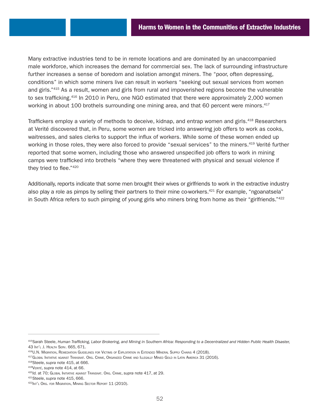Many extractive industries tend to be in remote locations and are dominated by an unaccompanied male workforce, which increases the demand for commercial sex. The lack of surrounding infrastructure further increases a sense of boredom and isolation amongst miners. The "poor, often depressing, conditions" in which some miners live can result in workers "seeking out sexual services from women and girls."415 As a result, women and girls from rural and impoverished regions become the vulnerable to sex trafficking.<sup>416</sup> In 2010 in Peru, one NGO estimated that there were approximately 2,000 women working in about 100 brothels surrounding one mining area, and that 60 percent were minors.<sup>417</sup>

Traffickers employ a variety of methods to deceive, kidnap, and entrap women and girls.418 Researchers at Verité discovered that, in Peru, some women are tricked into answering job offers to work as cooks, waitresses, and sales clerks to support the influx of workers. While some of these women ended up working in those roles, they were also forced to provide "sexual services" to the miners.<sup>419</sup> Verité further reported that some women, including those who answered unspecified job offers to work in mining camps were trafficked into brothels "where they were threatened with physical and sexual violence if they tried to flee."420

Additionally, reports indicate that some men brought their wives or girlfriends to work in the extractive industry also play a role as pimps by selling their partners to their mine co-workers.<sup>421</sup> For example, "ngoanatsela" in South Africa refers to such pimping of young girls who miners bring from home as their "girlfriends."422

<sup>415</sup>Sarah Steele, *Human Trafficking, Labor Brokering, and Mining in Southern Africa: Responding to a Decentralized and Hidden Public Health Disaster,* 43 Int'l J. Health Serv. 665, 671.

<sup>416</sup>U.N. Migration, Remediation Guidelines for Victims of Exploitation in Extended Mineral Supply Chains 4 (2018).

<sup>&</sup>lt;sup>417</sup>GLOBAL INITIATIVE AGAINST TRANSNAT. ORG. CRIME, ORGANIZED CRIME AND ILLEGALLY MINED GOLD IN LATIN AMERICA 31 (2016).

<sup>418</sup>Steele, *supra* note 415, at 666.

<sup>419</sup>Verité, *supra* note 414, at 66.

<sup>420</sup>*Id.* at 70; Global Initiative against Transnat. Org. Crime, *supra* note 417, at 29.

<sup>421</sup>Steele, *supra* note 415, 666.

<sup>422</sup>Int'l Org. for Migration, Mining Sector Report 11 (2010).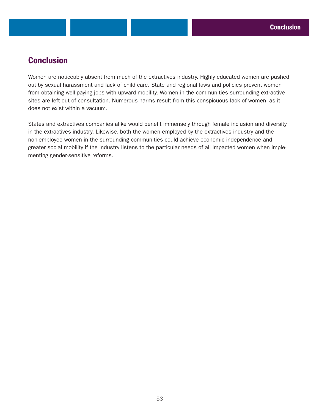# **Conclusion**

Women are noticeably absent from much of the extractives industry. Highly educated women are pushed out by sexual harassment and lack of child care. State and regional laws and policies prevent women from obtaining well-paying jobs with upward mobility. Women in the communities surrounding extractive sites are left out of consultation. Numerous harms result from this conspicuous lack of women, as it does not exist within a vacuum.

States and extractives companies alike would benefit immensely through female inclusion and diversity in the extractives industry. Likewise, both the women employed by the extractives industry and the non-employee women in the surrounding communities could achieve economic independence and greater social mobility if the industry listens to the particular needs of all impacted women when implementing gender-sensitive reforms.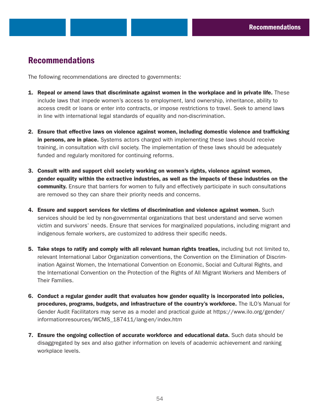# Recommendations

The following recommendations are directed to governments:

- 1. Repeal or amend laws that discriminate against women in the workplace and in private life. These include laws that impede women's access to employment, land ownership, inheritance, ability to access credit or loans or enter into contracts, or impose restrictions to travel. Seek to amend laws in line with international legal standards of equality and non-discrimination.
- 2. Ensure that effective laws on violence against women, including domestic violence and trafficking in persons, are in place. Systems actors charged with implementing these laws should receive training, in consultation with civil society. The implementation of these laws should be adequately funded and regularly monitored for continuing reforms.
- 3. Consult with and support civil society working on women's rights, violence against women, gender equality within the extractive industries, as well as the impacts of these industries on the community. Ensure that barriers for women to fully and effectively participate in such consultations are removed so they can share their priority needs and concerns.
- 4. Ensure and support services for victims of discrimination and violence against women. Such services should be led by non-governmental organizations that best understand and serve women victim and survivors' needs. Ensure that services for marginalized populations, including migrant and indigenous female workers, are customized to address their specific needs.
- 5. Take steps to ratify and comply with all relevant human rights treaties, including but not limited to, relevant International Labor Organization conventions, the Convention on the Elimination of Discrimination Against Women, the International Convention on Economic, Social and Cultural Rights, and the International Convention on the Protection of the Rights of All Migrant Workers and Members of Their Families.
- 6. Conduct a regular gender audit that evaluates how gender equality is incorporated into policies, procedures, programs, budgets, and infrastructure of the country's workforce. The ILO's Manual for Gender Audit Facilitators may serve as a model and practical guide at [https://www.ilo.org/gender/](https://www.ilo.org/gender/informationresources/WCMS_187411/lang-en/index.htm) [informationresources/WCMS\\_187411/lang-en/index.htm](https://www.ilo.org/gender/informationresources/WCMS_187411/lang-en/index.htm)
- 7. Ensure the ongoing collection of accurate workforce and educational data. Such data should be disaggregated by sex and also gather information on levels of academic achievement and ranking workplace levels.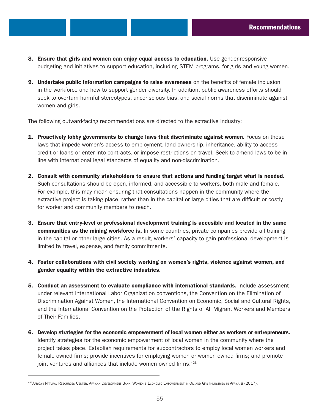- 8. Ensure that girls and women can enjoy equal access to education. Use gender-responsive budgeting and initiatives to support education, including STEM programs, for girls and young women.
- **9. Undertake public information campaigns to raise awareness** on the benefits of female inclusion in the workforce and how to support gender diversity. In addition, public awareness efforts should seek to overturn harmful stereotypes, unconscious bias, and social norms that discriminate against women and girls.

The following outward-facing recommendations are directed to the extractive industry:

- **1. Proactively lobby governments to change laws that discriminate against women.** Focus on those laws that impede women's access to employment, land ownership, inheritance, ability to access credit or loans or enter into contracts, or impose restrictions on travel. Seek to amend laws to be in line with international legal standards of equality and non-discrimination.
- 2. Consult with community stakeholders to ensure that actions and funding target what is needed. Such consultations should be open, informed, and accessible to workers, both male and female. For example, this may mean ensuring that consultations happen in the community where the extractive project is taking place, rather than in the capital or large cities that are difficult or costly for worker and community members to reach.
- 3. Ensure that entry-level or professional development training is accesible and located in the same communities as the mining workforce is. In some countries, private companies provide all training in the capital or other large cities. As a result, workers' capacity to gain professional development is limited by travel, expense, and family commitments.
- 4. Foster collaborations with civil society working on women's rights, violence against women, and gender equality within the extractive industries.
- 5. Conduct an assessment to evaluate compliance with international standards. Include assessment under relevant International Labor Organization conventions, the Convention on the Elimination of Discrimination Against Women, the International Convention on Economic, Social and Cultural Rights, and the International Convention on the Protection of the Rights of All Migrant Workers and Members of Their Families.
- 6. Develop strategies for the economic empowerment of local women either as workers or entrepreneurs. Identify strategies for the economic empowerment of local women in the community where the project takes place. Establish requirements for subcontractors to employ local women workers and female owned firms; provide incentives for employing women or women owned firms; and promote joint ventures and alliances that include women owned firms.<sup>423</sup>

<sup>423</sup> AFRICAN NATURAL RESOURCES CENTER, AFRICAN DEVELOPMENT BANK, WOMEN'S ECONOMIC EMPOWERMENT IN OIL AND GAS INDUSTRIES IN AFRICA 8 (2017).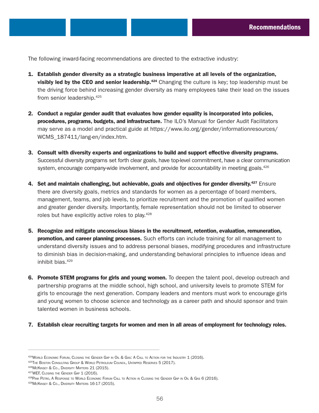The following inward-facing recommendations are directed to the extractive industry:

- 1. Establish gender diversity as a strategic business imperative at all levels of the organization, visibly led by the CEO and senior leadership.<sup>424</sup> Changing the culture is key; top leadership must be the driving force behind increasing gender diversity as many employees take their lead on the issues from senior leadership.<sup>425</sup>
- 2. Conduct a regular gender audit that evaluates how gender equality is incorporated into policies, procedures, programs, budgets, and infrastructure. The ILO's Manual for Gender Audit Facilitators may serve as a model and practical guide at [https://www.ilo.org/gender/informationresources/](https://www.ilo.org/gender/informationresources/WCMS_187411/lang-en/index.htm) [WCMS\\_187411/lang-en/index.htm.](https://www.ilo.org/gender/informationresources/WCMS_187411/lang-en/index.htm)
- 3. Consult with diversity experts and organizations to build and support effective diversity programs. Successful diversity programs set forth clear goals, have top-level commitment, have a clear communication system, encourage company-wide involvement, and provide for accountability in meeting goals.<sup>426</sup>
- 4. Set and maintain challenging, but achievable, goals and objectives for gender diversity.<sup>427</sup> Ensure there are diversity goals, metrics and standards for women as a percentage of board members, management, teams, and job levels, to prioritize recruitment and the promotion of qualified women and greater gender diversity. Importantly, female representation should not be limited to observer roles but have explicitly active roles to play.<sup>428</sup>
- 5. Recognize and mitigate unconscious biases in the recruitment, retention, evaluation, remuneration, promotion, and career planning processes. Such efforts can include training for all management to understand diversity issues and to address personal biases, modifying procedures and infrastructure to diminish bias in decision-making, and understanding behavioral principles to influence ideas and inhibit bias.429
- 6. Promote STEM programs for girls and young women. To deepen the talent pool, develop outreach and partnership programs at the middle school, high school, and university levels to promote STEM for girls to encourage the next generation. Company leaders and mentors must work to encourage girls and young women to choose science and technology as a career path and should sponsor and train talented women in business schools.
- 7. Establish clear recruiting targets for women and men in all areas of employment for technology roles.

<sup>426</sup>McKinsey & Co., Diversity Matters 21 (2015).

<sup>424</sup> WORLD ECONOMIC FORUM, CLOSING THE GENDER GAP IN OIL & GAS: A CALL TO ACTION FOR THE INDUSTRY 1 (2016).

<sup>425</sup>THE BOSTON CONSULTING GROUP & WORLD PETROLEUM COUNCIL, UNTAPPED RESERVES 5 (2017).

<sup>427</sup>WEF, CLOSING THE GENDER GAP 1 (2016).

<sup>428</sup>PINK PETRO, A RESPONSE TO WORLD ECONOMIC FORUM CALL TO ACTION IN CLOSING THE GENDER GAP IN OIL & GAS 6 (2016).

<sup>429</sup>McKINSEY & Co., DIVERSITY MATTERS 16-17 (2015).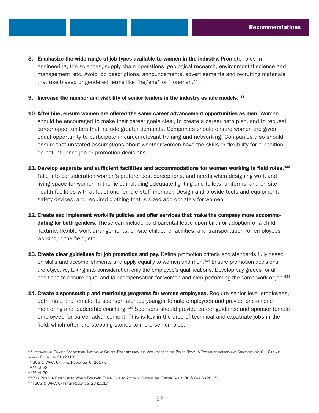- 8. Emphasize the wide range of job types available to women in the industry. Promote roles in engineering, the sciences, supply chain operations, geological research, environmental science and management, etc. Avoid job descriptions, announcements, advertisements and recruiting materials that use biased or gendered terms like "he/she" or "foreman."430
- 9. Increase the number and visibility of senior leaders in the industry as role models.<sup>431</sup>
- 10. After hire, ensure women are offered the same career advancement opportunities as men. Women should be encouraged to make their career goals clear, to create a career path plan, and to request career opportunities that include greater demands. Companies should ensure women are given equal opportunity to participate in career-relevant training and networking. Companies also should ensure that unstated assumptions about whether women have the skills or flexibility for a position do not influence job or promotion decisions.
- 11. Develop separate and sufficient facilities and accommodations for women working in field roles.<sup>432</sup> Take into consideration women's preferences, perceptions, and needs when designing work and living space for women in the field, including adequate lighting and toilets, uniforms, and on-site health facilities with at least one female staff member. Design and provide tools and equipment, safety devices, and required clothing that is sized appropriately for women.
- 12. Create and implement work-life policies and offer services that make the company more accommodating for both genders. These can include paid parental leave upon birth or adoption of a child, flextime, flexible work arrangements, on-site childcare facilities, and transportation for employees working in the field, etc.
- 13. Create clear guidelines for job promotion and pay. Define promotion criteria and standards fully based on skills and accomplishments and apply equally to women and men.<sup>433</sup> Ensure promotion decisions are objective, taking into consideration only the employee's qualifications. Develop pay grades for all positions to ensure equal and fair compensation for women and men performing the same work or job.<sup>434</sup>
- 14. Create a sponsorship and mentoring programs for women employees. Require senior level employees, both male and female, to sponsor talented younger female employees and provide one-on-one mentoring and leadership coaching.<sup>435</sup> Sponsors should provide career guidance and sponsor female employees for career advancement. This is key in the area of technical and expatriate jobs in the field, which often are stepping stones to more senior roles.

<sup>&</sup>lt;sup>430</sup>International Finance Corporation, Increasing Gender Diversity from the Workforce to the Board Room: A Toolkit of Actions and Strategies for Oil, Gas and Mining Companies 61 (2018).

<sup>431</sup>BCG & WPC, Untapped Resources 6 (2017). 432*Id.* at 23.

<sup>433</sup>*Id.* at 30.

<sup>434</sup>Pink Petro, A Response to World Economic Forum Call to Action in Closing the Gender Gap in Oil & Gas 6 (2016).

<sup>435</sup>TBCG & WPC, Untapped Resources 23 (2017).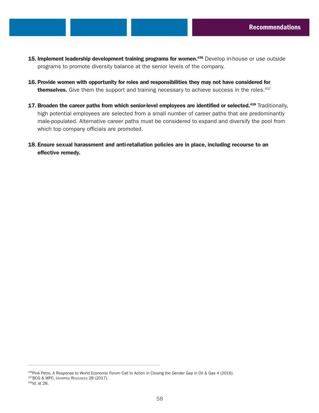- 15. Implement leadership development training programs for women.<sup>436</sup> Develop in-house or use outside programs to promote diversity balance at the senior levels of the company.
- 16. Provide women with opportunity for roles and responsibilities they may not have considered for themselves. Give them the support and training necessary to achieve success in the roles.<sup>437</sup>
- 17. Broaden the career paths from which senior-level employees are identified or selected.<sup>438</sup> Traditionally, high potential employees are selected from a small number of career paths that are predominantly male-populated. Alternative career paths must be considered to expand and diversify the pool from which top company officials are promoted.
- 18. Ensure sexual harassment and anti-retaliation policies are in place, including recourse to an effective remedy.

<sup>436</sup>Pink Petro, A Response to World Economic Forum Call to Action in Closing the Gender Gap in Oil & Gas 4 (2016).

<sup>437</sup>BCG & WPC, Untapped Resources 28 (2017).

<sup>438</sup>*Id.* at 28.